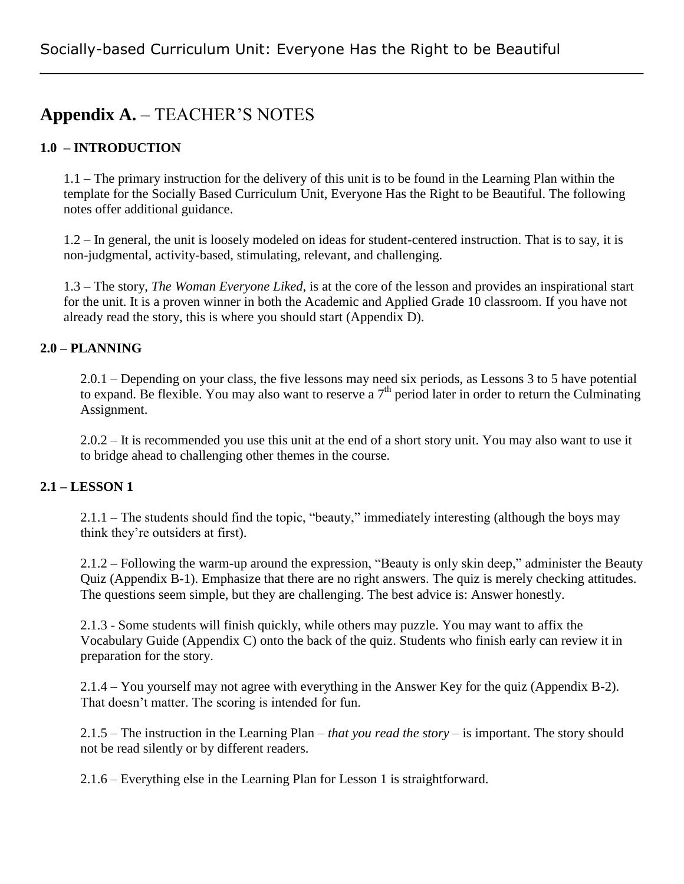# **Appendix A.** – TEACHER"S NOTES

## **1.0 – INTRODUCTION**

1.1 – The primary instruction for the delivery of this unit is to be found in the Learning Plan within the template for the Socially Based Curriculum Unit, Everyone Has the Right to be Beautiful. The following notes offer additional guidance.

1.2 – In general, the unit is loosely modeled on ideas for student-centered instruction. That is to say, it is non-judgmental, activity-based, stimulating, relevant, and challenging.

1.3 – The story, *The Woman Everyone Liked*, is at the core of the lesson and provides an inspirational start for the unit. It is a proven winner in both the Academic and Applied Grade 10 classroom. If you have not already read the story, this is where you should start (Appendix D).

## **2.0 – PLANNING**

2.0.1 – Depending on your class, the five lessons may need six periods, as Lessons 3 to 5 have potential to expand. Be flexible. You may also want to reserve a  $7<sup>th</sup>$  period later in order to return the Culminating Assignment.

2.0.2 – It is recommended you use this unit at the end of a short story unit. You may also want to use it to bridge ahead to challenging other themes in the course.

## **2.1 – LESSON 1**

2.1.1 – The students should find the topic, "beauty," immediately interesting (although the boys may think they"re outsiders at first).

2.1.2 – Following the warm-up around the expression, "Beauty is only skin deep," administer the Beauty Quiz (Appendix B-1). Emphasize that there are no right answers. The quiz is merely checking attitudes. The questions seem simple, but they are challenging. The best advice is: Answer honestly.

2.1.3 - Some students will finish quickly, while others may puzzle. You may want to affix the Vocabulary Guide (Appendix C) onto the back of the quiz. Students who finish early can review it in preparation for the story.

2.1.4 – You yourself may not agree with everything in the Answer Key for the quiz (Appendix B-2). That doesn"t matter. The scoring is intended for fun.

2.1.5 – The instruction in the Learning Plan – *that you read the story* – is important. The story should not be read silently or by different readers.

2.1.6 – Everything else in the Learning Plan for Lesson 1 is straightforward.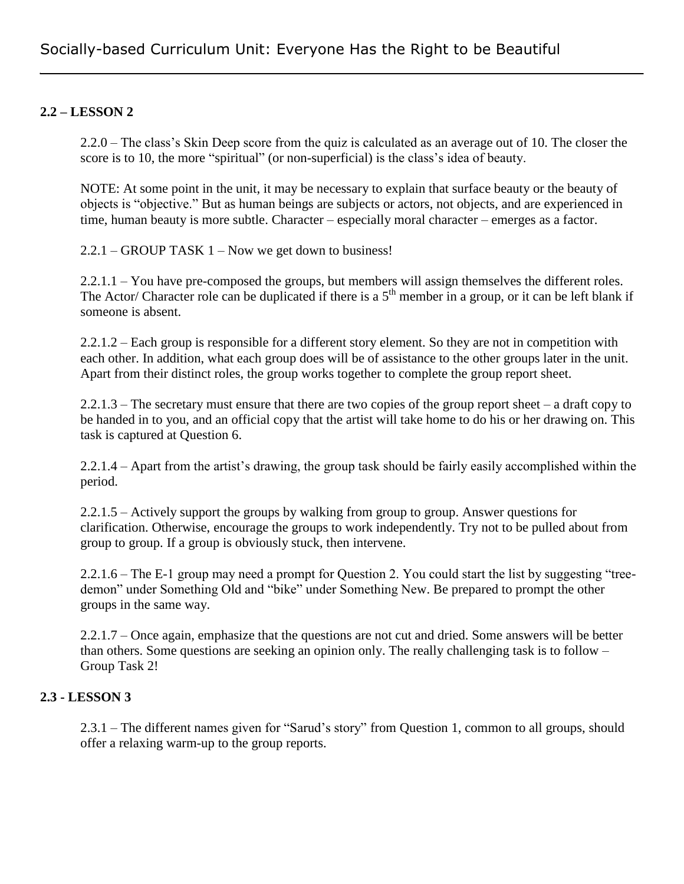## **2.2 – LESSON 2**

2.2.0 – The class"s Skin Deep score from the quiz is calculated as an average out of 10. The closer the score is to 10, the more "spiritual" (or non-superficial) is the class's idea of beauty.

NOTE: At some point in the unit, it may be necessary to explain that surface beauty or the beauty of objects is "objective." But as human beings are subjects or actors, not objects, and are experienced in time, human beauty is more subtle. Character – especially moral character – emerges as a factor.

2.2.1 – GROUP TASK 1 – Now we get down to business!

2.2.1.1 – You have pre-composed the groups, but members will assign themselves the different roles. The Actor/ Character role can be duplicated if there is a  $5<sup>th</sup>$  member in a group, or it can be left blank if someone is absent.

2.2.1.2 – Each group is responsible for a different story element. So they are not in competition with each other. In addition, what each group does will be of assistance to the other groups later in the unit. Apart from their distinct roles, the group works together to complete the group report sheet.

2.2.1.3 – The secretary must ensure that there are two copies of the group report sheet – a draft copy to be handed in to you, and an official copy that the artist will take home to do his or her drawing on. This task is captured at Question 6.

2.2.1.4 – Apart from the artist"s drawing, the group task should be fairly easily accomplished within the period.

2.2.1.5 – Actively support the groups by walking from group to group. Answer questions for clarification. Otherwise, encourage the groups to work independently. Try not to be pulled about from group to group. If a group is obviously stuck, then intervene.

2.2.1.6 – The E-1 group may need a prompt for Question 2. You could start the list by suggesting "treedemon" under Something Old and "bike" under Something New. Be prepared to prompt the other groups in the same way.

2.2.1.7 – Once again, emphasize that the questions are not cut and dried. Some answers will be better than others. Some questions are seeking an opinion only. The really challenging task is to follow – Group Task 2!

## **2.3 - LESSON 3**

2.3.1 – The different names given for "Sarud"s story" from Question 1, common to all groups, should offer a relaxing warm-up to the group reports.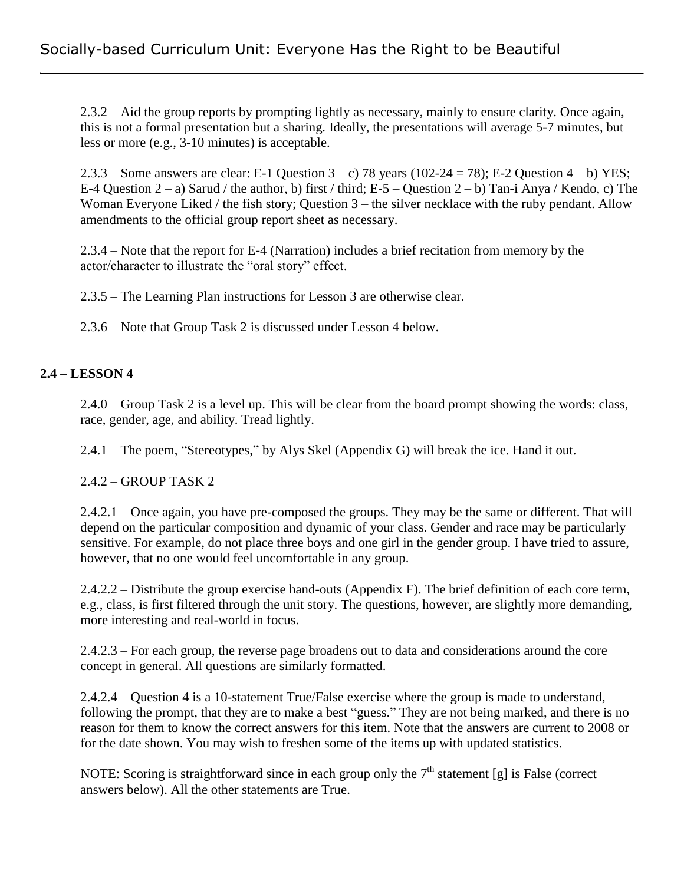2.3.2 – Aid the group reports by prompting lightly as necessary, mainly to ensure clarity. Once again, this is not a formal presentation but a sharing. Ideally, the presentations will average 5-7 minutes, but less or more (e.g., 3-10 minutes) is acceptable.

2.3.3 – Some answers are clear: E-1 Question  $3 - c$ ) 78 years (102-24 = 78); E-2 Question  $4 - b$ ) YES; E-4 Question  $2 - a$ ) Sarud / the author, b) first / third; E-5 – Question  $2 - b$ ) Tan-i Anya / Kendo, c) The Woman Everyone Liked / the fish story; Question 3 – the silver necklace with the ruby pendant. Allow amendments to the official group report sheet as necessary.

2.3.4 – Note that the report for E-4 (Narration) includes a brief recitation from memory by the actor/character to illustrate the "oral story" effect.

2.3.5 – The Learning Plan instructions for Lesson 3 are otherwise clear.

2.3.6 – Note that Group Task 2 is discussed under Lesson 4 below.

## **2.4 – LESSON 4**

2.4.0 – Group Task 2 is a level up. This will be clear from the board prompt showing the words: class, race, gender, age, and ability. Tread lightly.

2.4.1 – The poem, "Stereotypes," by Alys Skel (Appendix G) will break the ice. Hand it out.

2.4.2 – GROUP TASK 2

2.4.2.1 – Once again, you have pre-composed the groups. They may be the same or different. That will depend on the particular composition and dynamic of your class. Gender and race may be particularly sensitive. For example, do not place three boys and one girl in the gender group. I have tried to assure, however, that no one would feel uncomfortable in any group.

2.4.2.2 – Distribute the group exercise hand-outs (Appendix F). The brief definition of each core term, e.g., class, is first filtered through the unit story. The questions, however, are slightly more demanding, more interesting and real-world in focus.

2.4.2.3 – For each group, the reverse page broadens out to data and considerations around the core concept in general. All questions are similarly formatted.

2.4.2.4 – Question 4 is a 10-statement True/False exercise where the group is made to understand, following the prompt, that they are to make a best "guess." They are not being marked, and there is no reason for them to know the correct answers for this item. Note that the answers are current to 2008 or for the date shown. You may wish to freshen some of the items up with updated statistics.

NOTE: Scoring is straightforward since in each group only the  $7<sup>th</sup>$  statement [g] is False (correct answers below). All the other statements are True.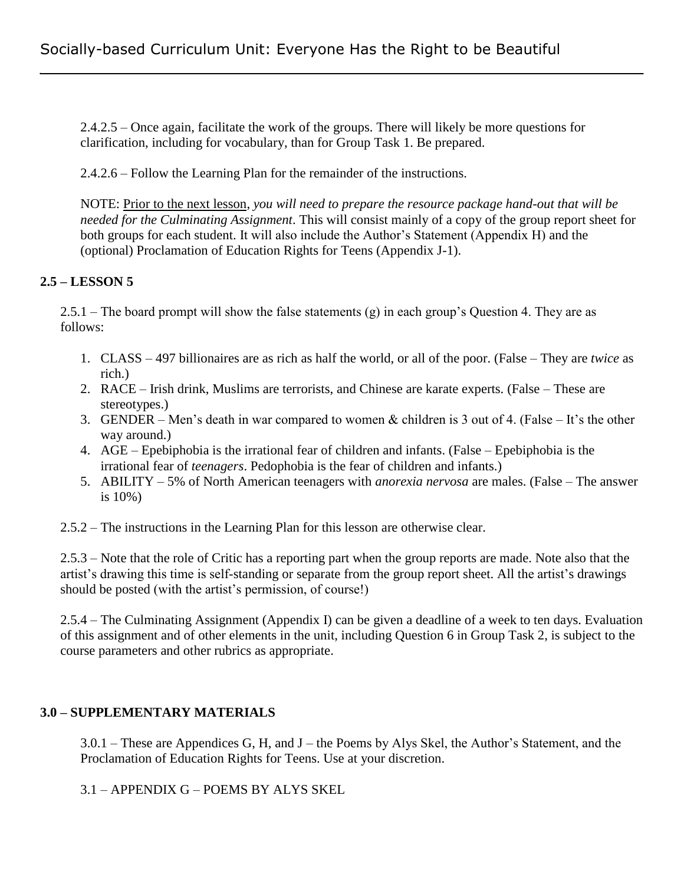2.4.2.5 – Once again, facilitate the work of the groups. There will likely be more questions for clarification, including for vocabulary, than for Group Task 1. Be prepared.

2.4.2.6 – Follow the Learning Plan for the remainder of the instructions.

NOTE: Prior to the next lesson, *you will need to prepare the resource package hand-out that will be needed for the Culminating Assignment*. This will consist mainly of a copy of the group report sheet for both groups for each student. It will also include the Author's Statement (Appendix H) and the (optional) Proclamation of Education Rights for Teens (Appendix J-1).

## **2.5 – LESSON 5**

2.5.1 – The board prompt will show the false statements (g) in each group"s Question 4. They are as follows:

- 1. CLASS 497 billionaires are as rich as half the world, or all of the poor. (False They are *twice* as rich.)
- 2. RACE Irish drink, Muslims are terrorists, and Chinese are karate experts. (False These are stereotypes.)
- 3. GENDER Men's death in war compared to women  $\&$  children is 3 out of 4. (False It's the other way around.)
- 4. AGE Epebiphobia is the irrational fear of children and infants. (False Epebiphobia is the irrational fear of *teenagers*. Pedophobia is the fear of children and infants.)
- 5. ABILITY 5% of North American teenagers with *anorexia nervosa* are males. (False The answer is 10%)

2.5.2 – The instructions in the Learning Plan for this lesson are otherwise clear.

2.5.3 – Note that the role of Critic has a reporting part when the group reports are made. Note also that the artist's drawing this time is self-standing or separate from the group report sheet. All the artist's drawings should be posted (with the artist's permission, of course!)

2.5.4 – The Culminating Assignment (Appendix I) can be given a deadline of a week to ten days. Evaluation of this assignment and of other elements in the unit, including Question 6 in Group Task 2, is subject to the course parameters and other rubrics as appropriate.

## **3.0 – SUPPLEMENTARY MATERIALS**

3.0.1 – These are Appendices G, H, and J – the Poems by Alys Skel, the Author"s Statement, and the Proclamation of Education Rights for Teens. Use at your discretion.

3.1 – APPENDIX G – POEMS BY ALYS SKEL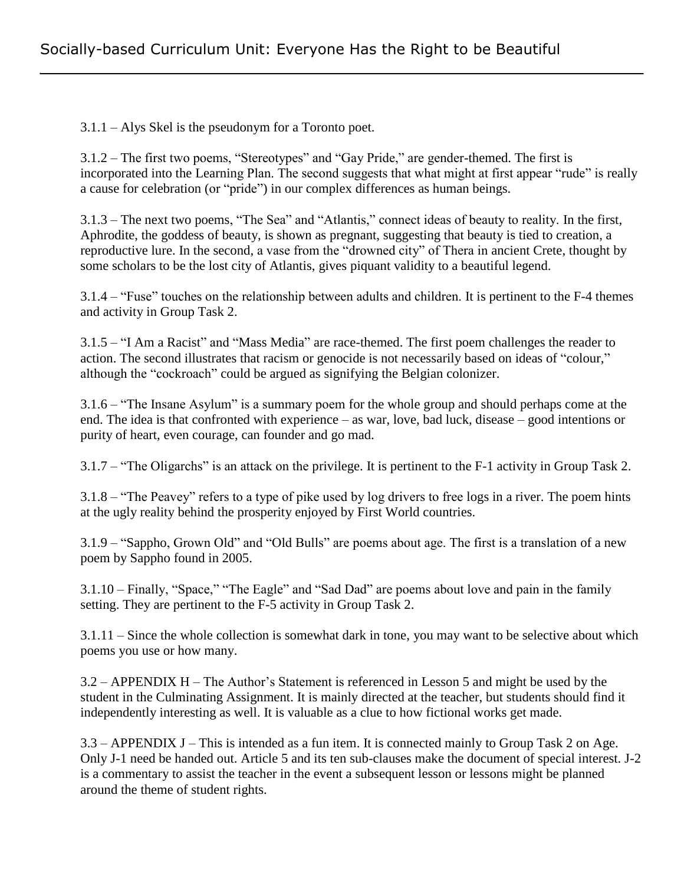3.1.1 – Alys Skel is the pseudonym for a Toronto poet.

3.1.2 – The first two poems, "Stereotypes" and "Gay Pride," are gender-themed. The first is incorporated into the Learning Plan. The second suggests that what might at first appear "rude" is really a cause for celebration (or "pride") in our complex differences as human beings.

3.1.3 – The next two poems, "The Sea" and "Atlantis," connect ideas of beauty to reality. In the first, Aphrodite, the goddess of beauty, is shown as pregnant, suggesting that beauty is tied to creation, a reproductive lure. In the second, a vase from the "drowned city" of Thera in ancient Crete, thought by some scholars to be the lost city of Atlantis, gives piquant validity to a beautiful legend.

3.1.4 – "Fuse" touches on the relationship between adults and children. It is pertinent to the F-4 themes and activity in Group Task 2.

3.1.5 – "I Am a Racist" and "Mass Media" are race-themed. The first poem challenges the reader to action. The second illustrates that racism or genocide is not necessarily based on ideas of "colour," although the "cockroach" could be argued as signifying the Belgian colonizer.

3.1.6 – "The Insane Asylum" is a summary poem for the whole group and should perhaps come at the end. The idea is that confronted with experience – as war, love, bad luck, disease – good intentions or purity of heart, even courage, can founder and go mad.

3.1.7 – "The Oligarchs" is an attack on the privilege. It is pertinent to the F-1 activity in Group Task 2.

3.1.8 – "The Peavey" refers to a type of pike used by log drivers to free logs in a river. The poem hints at the ugly reality behind the prosperity enjoyed by First World countries.

3.1.9 – "Sappho, Grown Old" and "Old Bulls" are poems about age. The first is a translation of a new poem by Sappho found in 2005.

3.1.10 – Finally, "Space," "The Eagle" and "Sad Dad" are poems about love and pain in the family setting. They are pertinent to the F-5 activity in Group Task 2.

3.1.11 – Since the whole collection is somewhat dark in tone, you may want to be selective about which poems you use or how many.

3.2 – APPENDIX H – The Author"s Statement is referenced in Lesson 5 and might be used by the student in the Culminating Assignment. It is mainly directed at the teacher, but students should find it independently interesting as well. It is valuable as a clue to how fictional works get made.

3.3 – APPENDIX J – This is intended as a fun item. It is connected mainly to Group Task 2 on Age. Only J-1 need be handed out. Article 5 and its ten sub-clauses make the document of special interest. J-2 is a commentary to assist the teacher in the event a subsequent lesson or lessons might be planned around the theme of student rights.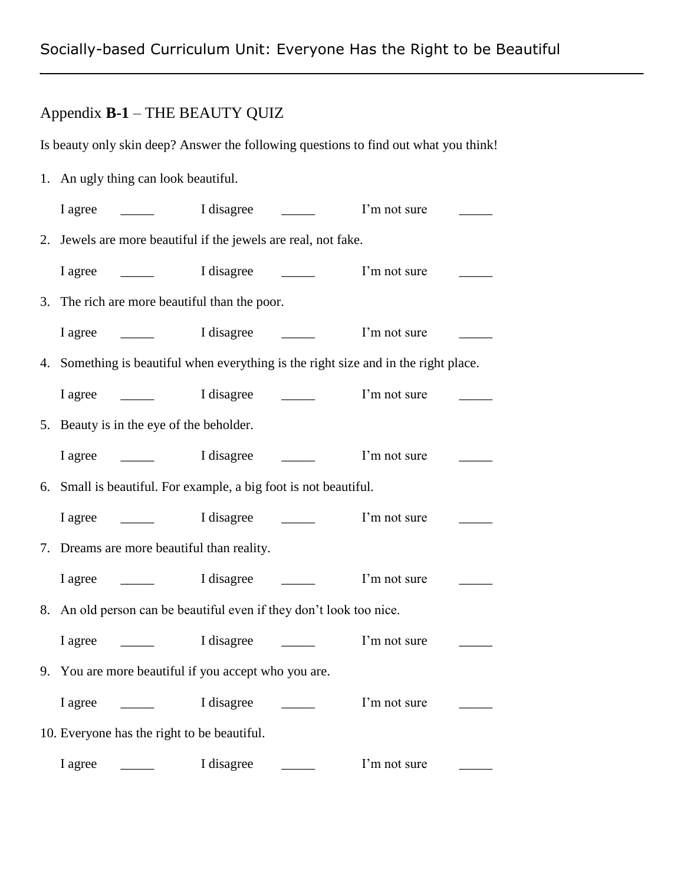# Appendix **B-1** – THE BEAUTY QUIZ

Is beauty only skin deep? Answer the following questions to find out what you think!

| 1. An ugly thing can look beautiful.                                                |                               |              |  |
|-------------------------------------------------------------------------------------|-------------------------------|--------------|--|
| I agree                                                                             | I disagree                    | I'm not sure |  |
| 2. Jewels are more beautiful if the jewels are real, not fake.                      |                               |              |  |
| I agree                                                                             | I disagree                    | I'm not sure |  |
| 3. The rich are more beautiful than the poor.                                       |                               |              |  |
| I disagree<br>I agree                                                               |                               | I'm not sure |  |
| 4. Something is beautiful when everything is the right size and in the right place. |                               |              |  |
| I agree                                                                             | I disagree                    | I'm not sure |  |
| 5. Beauty is in the eye of the beholder.                                            |                               |              |  |
| I agree                                                                             | I disagree                    | I'm not sure |  |
| 6. Small is beautiful. For example, a big foot is not beautiful.                    |                               |              |  |
| I disagree<br>I agree                                                               | <u> 1990 - Jan Barnett, p</u> | I'm not sure |  |
| 7. Dreams are more beautiful than reality.                                          |                               |              |  |
| I agree                                                                             | I disagree                    | I'm not sure |  |
| 8. An old person can be beautiful even if they don't look too nice.                 |                               |              |  |
| I agree                                                                             | I disagree                    | I'm not sure |  |
| 9. You are more beautiful if you accept who you are.                                |                               |              |  |
| I agree                                                                             | I disagree                    | I'm not sure |  |
| 10. Everyone has the right to be beautiful.                                         |                               |              |  |
| I agree                                                                             | I disagree                    | I'm not sure |  |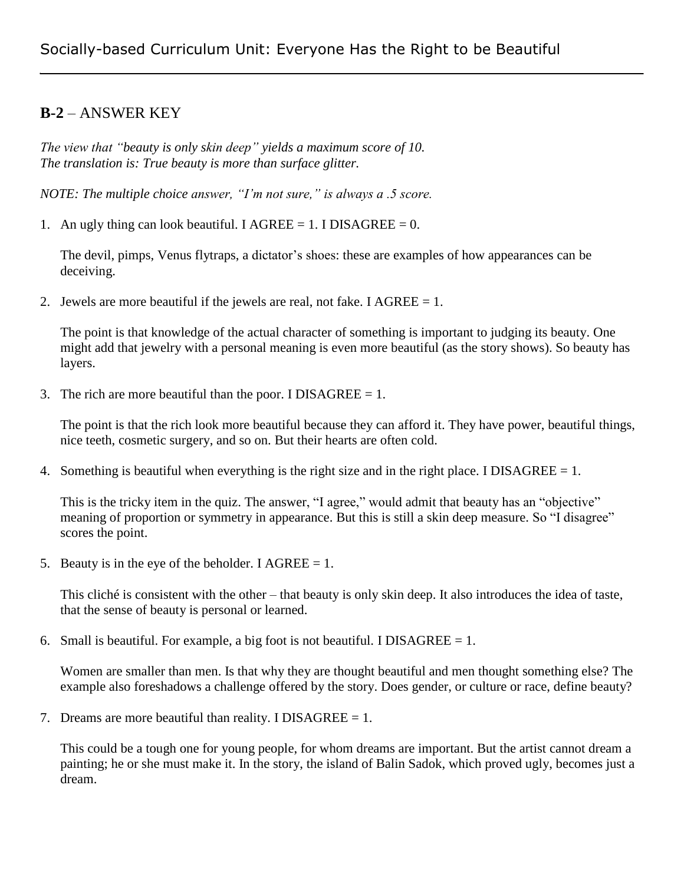# **B-2** – ANSWER KEY

*The view that "beauty is only skin deep" yields a maximum score of 10. The translation is: True beauty is more than surface glitter.*

*NOTE: The multiple choice answer, "I'm not sure," is always a .5 score.*

1. An ugly thing can look beautiful. I AGREE = 1. I DISAGREE = 0.

The devil, pimps, Venus flytraps, a dictator's shoes: these are examples of how appearances can be deceiving.

2. Jewels are more beautiful if the jewels are real, not fake. I AGREE  $= 1$ .

The point is that knowledge of the actual character of something is important to judging its beauty. One might add that jewelry with a personal meaning is even more beautiful (as the story shows). So beauty has layers.

3. The rich are more beautiful than the poor. I DISAGREE  $= 1$ .

The point is that the rich look more beautiful because they can afford it. They have power, beautiful things, nice teeth, cosmetic surgery, and so on. But their hearts are often cold.

4. Something is beautiful when everything is the right size and in the right place. I DISAGREE  $= 1$ .

This is the tricky item in the quiz. The answer, "I agree," would admit that beauty has an "objective" meaning of proportion or symmetry in appearance. But this is still a skin deep measure. So "I disagree" scores the point.

5. Beauty is in the eye of the beholder. I AGREE  $= 1$ .

This cliché is consistent with the other – that beauty is only skin deep. It also introduces the idea of taste, that the sense of beauty is personal or learned.

6. Small is beautiful. For example, a big foot is not beautiful. I DISAGREE  $= 1$ .

Women are smaller than men. Is that why they are thought beautiful and men thought something else? The example also foreshadows a challenge offered by the story. Does gender, or culture or race, define beauty?

7. Dreams are more beautiful than reality. I DISAGREE  $= 1$ .

This could be a tough one for young people, for whom dreams are important. But the artist cannot dream a painting; he or she must make it. In the story, the island of Balin Sadok, which proved ugly, becomes just a dream.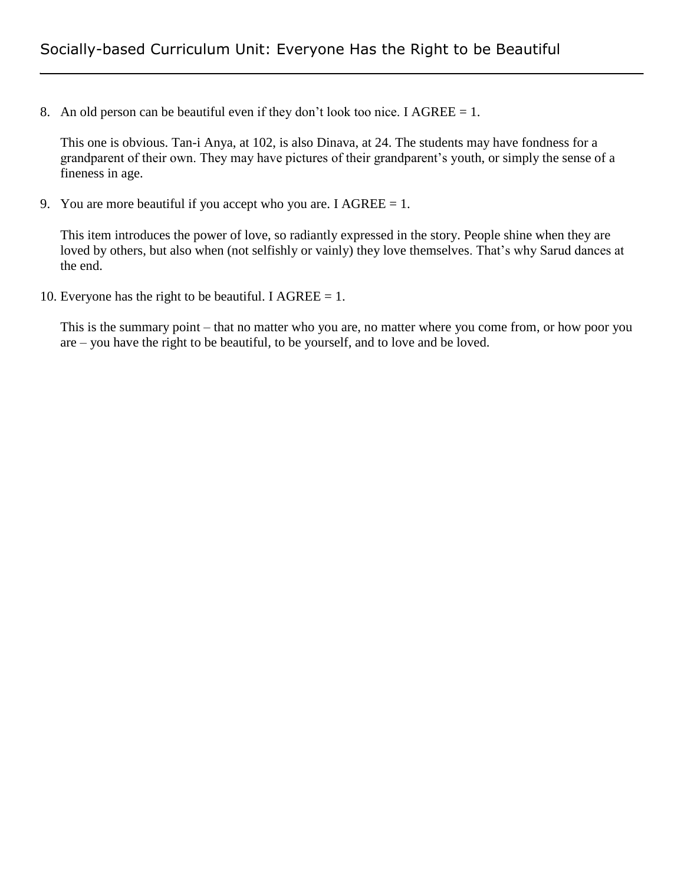8. An old person can be beautiful even if they don't look too nice. I AGREE  $= 1$ .

This one is obvious. Tan-i Anya, at 102, is also Dinava, at 24. The students may have fondness for a grandparent of their own. They may have pictures of their grandparent"s youth, or simply the sense of a fineness in age.

9. You are more beautiful if you accept who you are. I AGREE  $= 1$ .

This item introduces the power of love, so radiantly expressed in the story. People shine when they are loved by others, but also when (not selfishly or vainly) they love themselves. That's why Sarud dances at the end.

10. Everyone has the right to be beautiful. I AGREE  $= 1$ .

This is the summary point – that no matter who you are, no matter where you come from, or how poor you are – you have the right to be beautiful, to be yourself, and to love and be loved.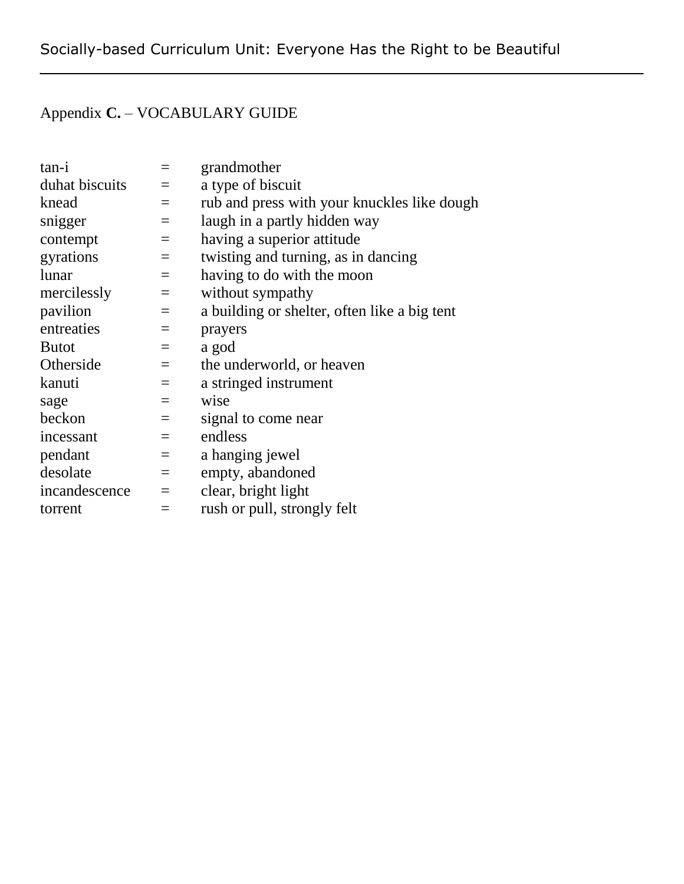# Appendix **C.** – VOCABULARY GUIDE

| tan-i          |          | grandmother                                  |
|----------------|----------|----------------------------------------------|
| duhat biscuits | $=$      | a type of biscuit                            |
| knead          | $\equiv$ | rub and press with your knuckles like dough  |
| snigger        | $=$      | laugh in a partly hidden way                 |
| contempt       | $=$      | having a superior attitude                   |
| gyrations      | $=$      | twisting and turning, as in dancing          |
| lunar          | $=$      | having to do with the moon                   |
| mercilessly    | $=$      | without sympathy                             |
| pavilion       | $=$      | a building or shelter, often like a big tent |
| entreaties     | $=$      | prayers                                      |
| <b>Butot</b>   | $=$      | a god                                        |
| Otherside      | $=$      | the underworld, or heaven                    |
| kanuti         | $=$      | a stringed instrument                        |
| sage           | $=$      | wise                                         |
| beckon         | $=$      | signal to come near                          |
| incessant      | $=$      | endless                                      |
| pendant        | $=$      | a hanging jewel                              |
| desolate       | $=$      | empty, abandoned                             |
| incandescence  | $\equiv$ | clear, bright light                          |
| torrent        | $=$      | rush or pull, strongly felt                  |
|                |          |                                              |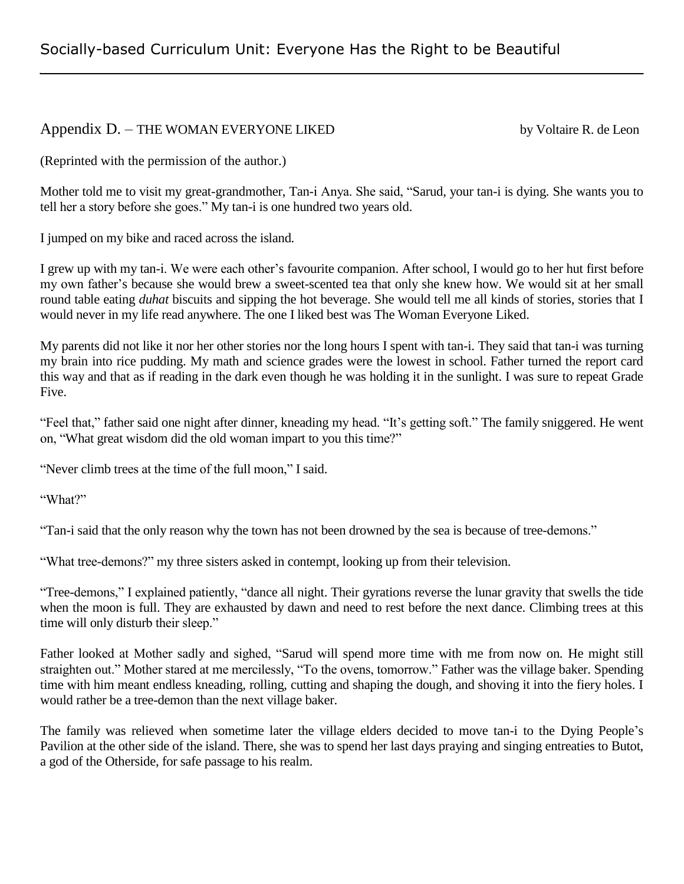## Appendix D. – THE WOMAN EVERYONE LIKED by Voltaire R. de Leon

(Reprinted with the permission of the author.)

Mother told me to visit my great-grandmother, Tan-i Anya. She said, "Sarud, your tan-i is dying. She wants you to tell her a story before she goes." My tan-i is one hundred two years old.

I jumped on my bike and raced across the island.

I grew up with my tan-i. We were each other"s favourite companion. After school, I would go to her hut first before my own father"s because she would brew a sweet-scented tea that only she knew how. We would sit at her small round table eating *duhat* biscuits and sipping the hot beverage. She would tell me all kinds of stories, stories that I would never in my life read anywhere. The one I liked best was The Woman Everyone Liked.

My parents did not like it nor her other stories nor the long hours I spent with tan-i. They said that tan-i was turning my brain into rice pudding. My math and science grades were the lowest in school. Father turned the report card this way and that as if reading in the dark even though he was holding it in the sunlight. I was sure to repeat Grade Five.

"Feel that," father said one night after dinner, kneading my head. "It"s getting soft." The family sniggered. He went on, "What great wisdom did the old woman impart to you this time?"

"Never climb trees at the time of the full moon," I said.

"What?"

"Tan-i said that the only reason why the town has not been drowned by the sea is because of tree-demons."

"What tree-demons?" my three sisters asked in contempt, looking up from their television.

"Tree-demons," I explained patiently, "dance all night. Their gyrations reverse the lunar gravity that swells the tide when the moon is full. They are exhausted by dawn and need to rest before the next dance. Climbing trees at this time will only disturb their sleep."

Father looked at Mother sadly and sighed, "Sarud will spend more time with me from now on. He might still straighten out." Mother stared at me mercilessly, "To the ovens, tomorrow." Father was the village baker. Spending time with him meant endless kneading, rolling, cutting and shaping the dough, and shoving it into the fiery holes. I would rather be a tree-demon than the next village baker.

The family was relieved when sometime later the village elders decided to move tan-i to the Dying People"s Pavilion at the other side of the island. There, she was to spend her last days praying and singing entreaties to Butot, a god of the Otherside, for safe passage to his realm.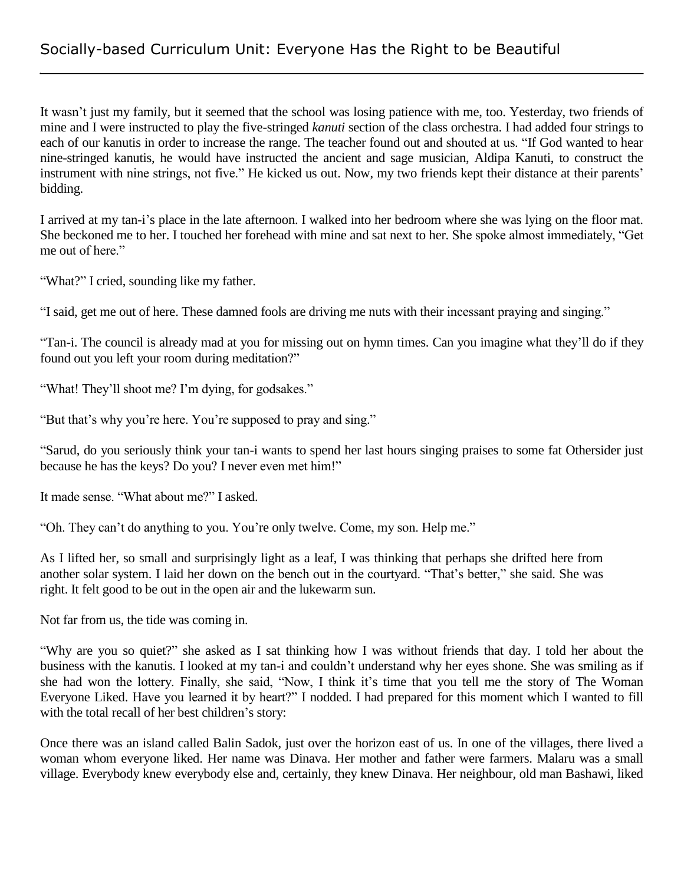It wasn"t just my family, but it seemed that the school was losing patience with me, too. Yesterday, two friends of mine and I were instructed to play the five-stringed *kanuti* section of the class orchestra. I had added four strings to each of our kanutis in order to increase the range. The teacher found out and shouted at us. "If God wanted to hear nine-stringed kanutis, he would have instructed the ancient and sage musician, Aldipa Kanuti, to construct the instrument with nine strings, not five." He kicked us out. Now, my two friends kept their distance at their parents' bidding.

I arrived at my tan-i"s place in the late afternoon. I walked into her bedroom where she was lying on the floor mat. She beckoned me to her. I touched her forehead with mine and sat next to her. She spoke almost immediately, "Get me out of here."

"What?" I cried, sounding like my father.

"I said, get me out of here. These damned fools are driving me nuts with their incessant praying and singing."

"Tan-i. The council is already mad at you for missing out on hymn times. Can you imagine what they"ll do if they found out you left your room during meditation?"

"What! They'll shoot me? I'm dying, for godsakes."

"But that"s why you"re here. You"re supposed to pray and sing."

"Sarud, do you seriously think your tan-i wants to spend her last hours singing praises to some fat Othersider just because he has the keys? Do you? I never even met him!"

It made sense. "What about me?" I asked.

"Oh. They can"t do anything to you. You"re only twelve. Come, my son. Help me."

As I lifted her, so small and surprisingly light as a leaf, I was thinking that perhaps she drifted here from another solar system. I laid her down on the bench out in the courtyard. "That"s better," she said. She was right. It felt good to be out in the open air and the lukewarm sun.

Not far from us, the tide was coming in.

"Why are you so quiet?" she asked as I sat thinking how I was without friends that day. I told her about the business with the kanutis. I looked at my tan-i and couldn"t understand why her eyes shone. She was smiling as if she had won the lottery. Finally, she said, "Now, I think it's time that you tell me the story of The Woman Everyone Liked. Have you learned it by heart?" I nodded. I had prepared for this moment which I wanted to fill with the total recall of her best children's story:

Once there was an island called Balin Sadok, just over the horizon east of us. In one of the villages, there lived a woman whom everyone liked. Her name was Dinava. Her mother and father were farmers. Malaru was a small village. Everybody knew everybody else and, certainly, they knew Dinava. Her neighbour, old man Bashawi, liked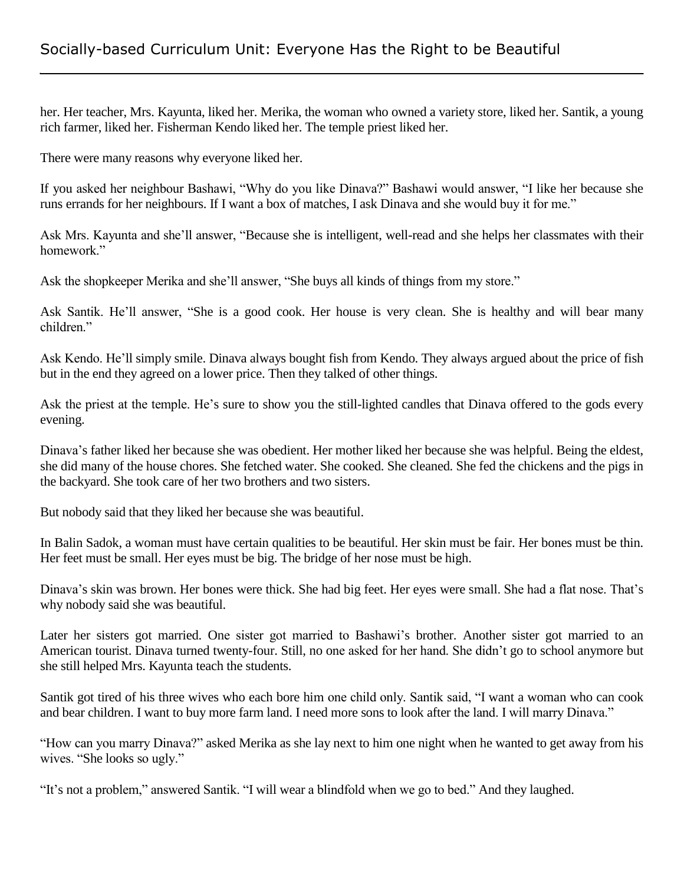her. Her teacher, Mrs. Kayunta, liked her. Merika, the woman who owned a variety store, liked her. Santik, a young rich farmer, liked her. Fisherman Kendo liked her. The temple priest liked her.

There were many reasons why everyone liked her.

If you asked her neighbour Bashawi, "Why do you like Dinava?" Bashawi would answer, "I like her because she runs errands for her neighbours. If I want a box of matches, I ask Dinava and she would buy it for me."

Ask Mrs. Kayunta and she"ll answer, "Because she is intelligent, well-read and she helps her classmates with their homework."

Ask the shopkeeper Merika and she"ll answer, "She buys all kinds of things from my store."

Ask Santik. He'll answer, "She is a good cook. Her house is very clean. She is healthy and will bear many children."

Ask Kendo. He"ll simply smile. Dinava always bought fish from Kendo. They always argued about the price of fish but in the end they agreed on a lower price. Then they talked of other things.

Ask the priest at the temple. He's sure to show you the still-lighted candles that Dinava offered to the gods every evening.

Dinava"s father liked her because she was obedient. Her mother liked her because she was helpful. Being the eldest, she did many of the house chores. She fetched water. She cooked. She cleaned. She fed the chickens and the pigs in the backyard. She took care of her two brothers and two sisters.

But nobody said that they liked her because she was beautiful.

In Balin Sadok, a woman must have certain qualities to be beautiful. Her skin must be fair. Her bones must be thin. Her feet must be small. Her eyes must be big. The bridge of her nose must be high.

Dinava's skin was brown. Her bones were thick. She had big feet. Her eyes were small. She had a flat nose. That's why nobody said she was beautiful.

Later her sisters got married. One sister got married to Bashawi"s brother. Another sister got married to an American tourist. Dinava turned twenty-four. Still, no one asked for her hand. She didn"t go to school anymore but she still helped Mrs. Kayunta teach the students.

Santik got tired of his three wives who each bore him one child only. Santik said, "I want a woman who can cook and bear children. I want to buy more farm land. I need more sons to look after the land. I will marry Dinava."

"How can you marry Dinava?" asked Merika as she lay next to him one night when he wanted to get away from his wives. "She looks so ugly."

"It"s not a problem," answered Santik. "I will wear a blindfold when we go to bed." And they laughed.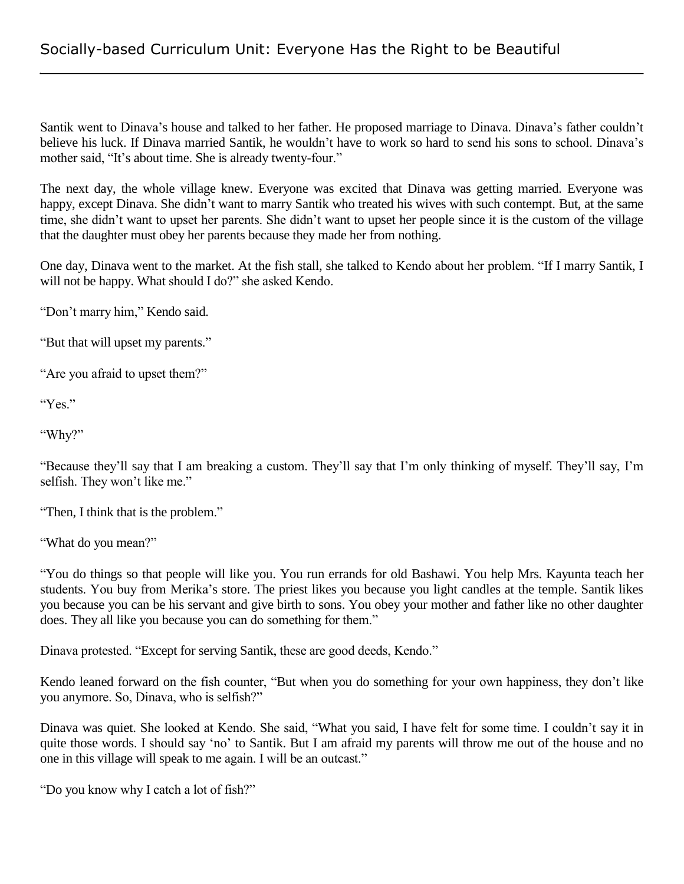Santik went to Dinava's house and talked to her father. He proposed marriage to Dinava. Dinava's father couldn't believe his luck. If Dinava married Santik, he wouldn"t have to work so hard to send his sons to school. Dinava"s mother said, "It's about time. She is already twenty-four."

The next day, the whole village knew. Everyone was excited that Dinava was getting married. Everyone was happy, except Dinava. She didn't want to marry Santik who treated his wives with such contempt. But, at the same time, she didn"t want to upset her parents. She didn"t want to upset her people since it is the custom of the village that the daughter must obey her parents because they made her from nothing.

One day, Dinava went to the market. At the fish stall, she talked to Kendo about her problem. "If I marry Santik, I will not be happy. What should I do?" she asked Kendo.

"Don"t marry him," Kendo said.

"But that will upset my parents."

"Are you afraid to upset them?"

"Yes."

"Why?"

"Because they"ll say that I am breaking a custom. They"ll say that I"m only thinking of myself. They"ll say, I"m selfish. They won't like me."

"Then, I think that is the problem."

"What do you mean?"

"You do things so that people will like you. You run errands for old Bashawi. You help Mrs. Kayunta teach her students. You buy from Merika's store. The priest likes you because you light candles at the temple. Santik likes you because you can be his servant and give birth to sons. You obey your mother and father like no other daughter does. They all like you because you can do something for them."

Dinava protested. "Except for serving Santik, these are good deeds, Kendo."

Kendo leaned forward on the fish counter, "But when you do something for your own happiness, they don"t like you anymore. So, Dinava, who is selfish?"

Dinava was quiet. She looked at Kendo. She said, "What you said, I have felt for some time. I couldn"t say it in quite those words. I should say "no" to Santik. But I am afraid my parents will throw me out of the house and no one in this village will speak to me again. I will be an outcast."

"Do you know why I catch a lot of fish?"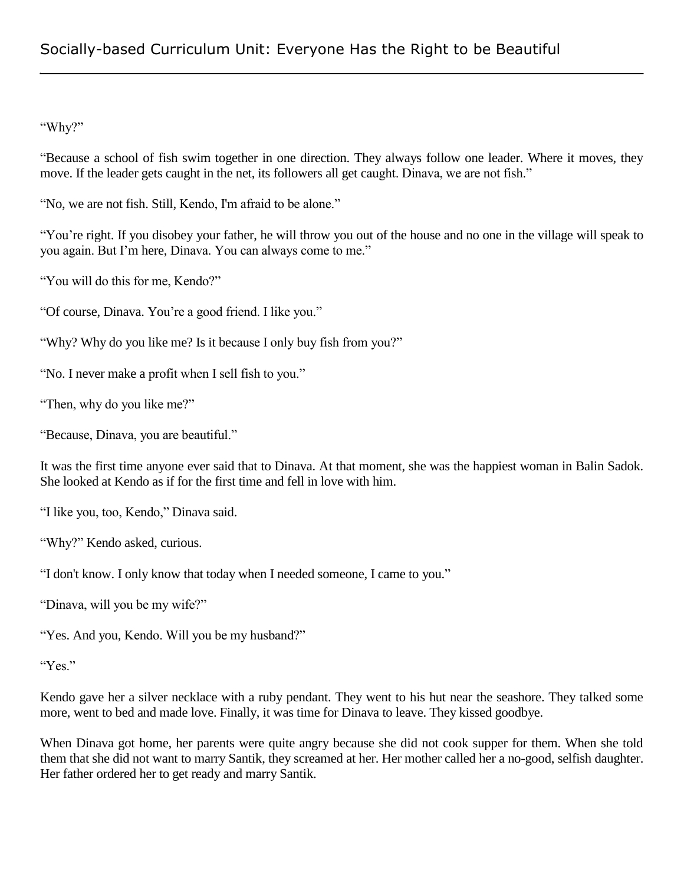"Why?"

"Because a school of fish swim together in one direction. They always follow one leader. Where it moves, they move. If the leader gets caught in the net, its followers all get caught. Dinava, we are not fish."

"No, we are not fish. Still, Kendo, I'm afraid to be alone."

"You"re right. If you disobey your father, he will throw you out of the house and no one in the village will speak to you again. But I"m here, Dinava. You can always come to me."

"You will do this for me, Kendo?"

"Of course, Dinava. You"re a good friend. I like you."

- "Why? Why do you like me? Is it because I only buy fish from you?"
- "No. I never make a profit when I sell fish to you."

"Then, why do you like me?"

"Because, Dinava, you are beautiful."

It was the first time anyone ever said that to Dinava. At that moment, she was the happiest woman in Balin Sadok. She looked at Kendo as if for the first time and fell in love with him.

"I like you, too, Kendo," Dinava said.

"Why?" Kendo asked, curious.

"I don't know. I only know that today when I needed someone, I came to you."

"Dinava, will you be my wife?"

"Yes. And you, Kendo. Will you be my husband?"

"Yes."

Kendo gave her a silver necklace with a ruby pendant. They went to his hut near the seashore. They talked some more, went to bed and made love. Finally, it was time for Dinava to leave. They kissed goodbye.

When Dinava got home, her parents were quite angry because she did not cook supper for them. When she told them that she did not want to marry Santik, they screamed at her. Her mother called her a no-good, selfish daughter. Her father ordered her to get ready and marry Santik.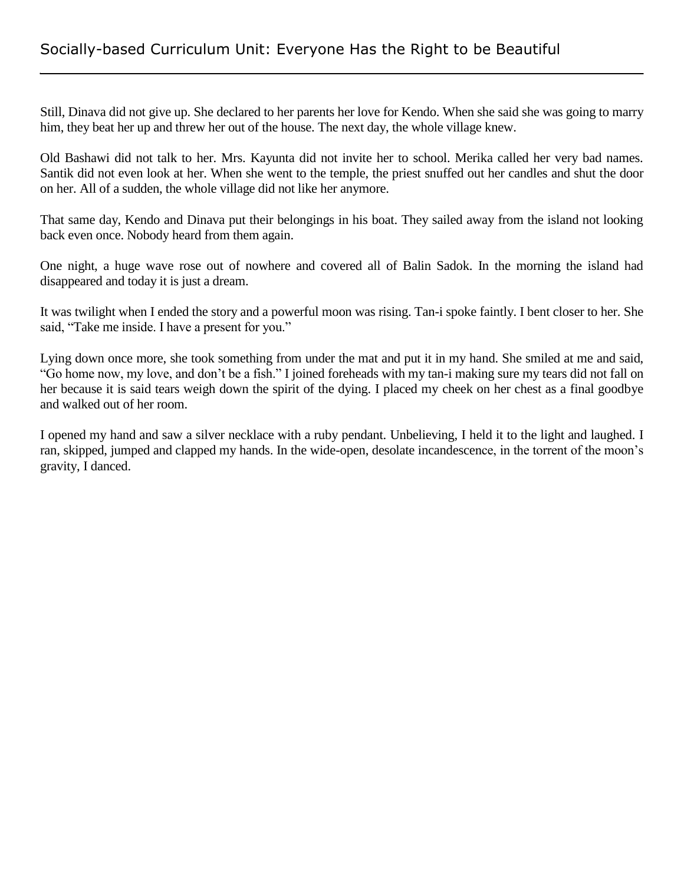Still, Dinava did not give up. She declared to her parents her love for Kendo. When she said she was going to marry him, they beat her up and threw her out of the house. The next day, the whole village knew.

Old Bashawi did not talk to her. Mrs. Kayunta did not invite her to school. Merika called her very bad names. Santik did not even look at her. When she went to the temple, the priest snuffed out her candles and shut the door on her. All of a sudden, the whole village did not like her anymore.

That same day, Kendo and Dinava put their belongings in his boat. They sailed away from the island not looking back even once. Nobody heard from them again.

One night, a huge wave rose out of nowhere and covered all of Balin Sadok. In the morning the island had disappeared and today it is just a dream.

It was twilight when I ended the story and a powerful moon was rising. Tan-i spoke faintly. I bent closer to her. She said, "Take me inside. I have a present for you."

Lying down once more, she took something from under the mat and put it in my hand. She smiled at me and said, "Go home now, my love, and don"t be a fish." I joined foreheads with my tan-i making sure my tears did not fall on her because it is said tears weigh down the spirit of the dying. I placed my cheek on her chest as a final goodbye and walked out of her room.

I opened my hand and saw a silver necklace with a ruby pendant. Unbelieving, I held it to the light and laughed. I ran, skipped, jumped and clapped my hands. In the wide-open, desolate incandescence, in the torrent of the moon"s gravity, I danced.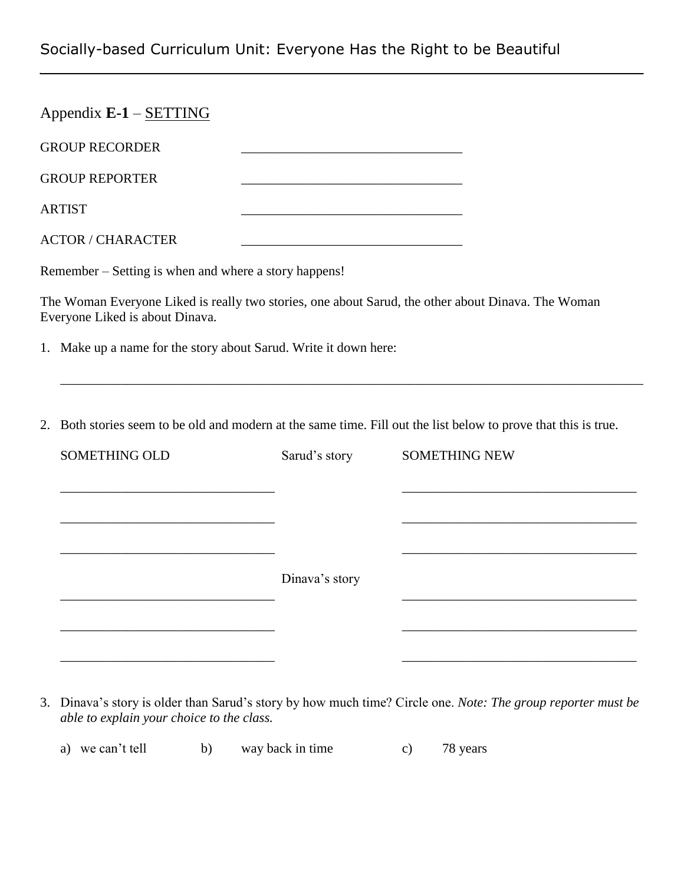|    | Appendix $E-1 - SETTING$                                         |                |                                                                                                              |
|----|------------------------------------------------------------------|----------------|--------------------------------------------------------------------------------------------------------------|
|    | <b>GROUP RECORDER</b>                                            |                |                                                                                                              |
|    | <b>GROUP REPORTER</b>                                            |                |                                                                                                              |
|    | <b>ARTIST</b>                                                    |                |                                                                                                              |
|    | <b>ACTOR / CHARACTER</b>                                         |                |                                                                                                              |
|    | Remember – Setting is when and where a story happens!            |                |                                                                                                              |
|    | Everyone Liked is about Dinava.                                  |                | The Woman Everyone Liked is really two stories, one about Sarud, the other about Dinava. The Woman           |
|    | 1. Make up a name for the story about Sarud. Write it down here: |                |                                                                                                              |
| 2. |                                                                  |                | Both stories seem to be old and modern at the same time. Fill out the list below to prove that this is true. |
|    | <b>SOMETHING OLD</b>                                             | Sarud's story  | <b>SOMETHING NEW</b>                                                                                         |
|    |                                                                  |                |                                                                                                              |
|    |                                                                  |                |                                                                                                              |
|    |                                                                  |                |                                                                                                              |
|    |                                                                  | Dinava's story |                                                                                                              |
|    |                                                                  |                |                                                                                                              |
|    |                                                                  |                |                                                                                                              |
|    |                                                                  |                |                                                                                                              |

3. Dinava"s story is older than Sarud"s story by how much time? Circle one. *Note: The group reporter must be able to explain your choice to the class.*

a) we can't tell b) way back in time c) 78 years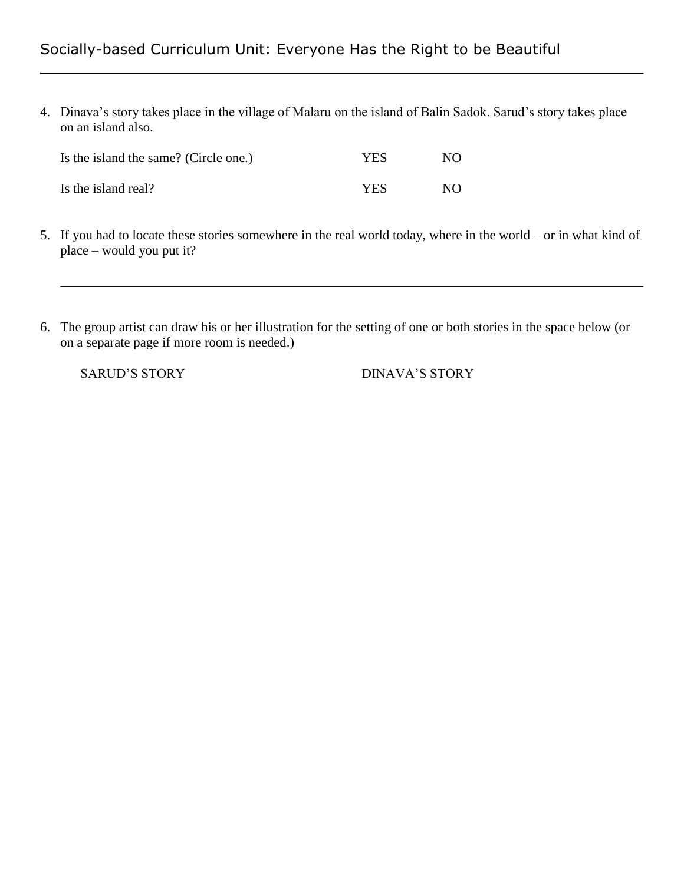4. Dinava"s story takes place in the village of Malaru on the island of Balin Sadok. Sarud"s story takes place on an island also.

| Is the island the same? (Circle one.) | <b>YES</b> | NO. |
|---------------------------------------|------------|-----|
| Is the island real?                   | <b>YES</b> | NO. |

5. If you had to locate these stories somewhere in the real world today, where in the world – or in what kind of place – would you put it?

\_\_\_\_\_\_\_\_\_\_\_\_\_\_\_\_\_\_\_\_\_\_\_\_\_\_\_\_\_\_\_\_\_\_\_\_\_\_\_\_\_\_\_\_\_\_\_\_\_\_\_\_\_\_\_\_\_\_\_\_\_\_\_\_\_\_\_\_\_\_\_\_\_\_\_\_\_\_\_\_\_\_\_\_\_\_\_

6. The group artist can draw his or her illustration for the setting of one or both stories in the space below (or on a separate page if more room is needed.)

SARUD'S STORY DINAVA'S STORY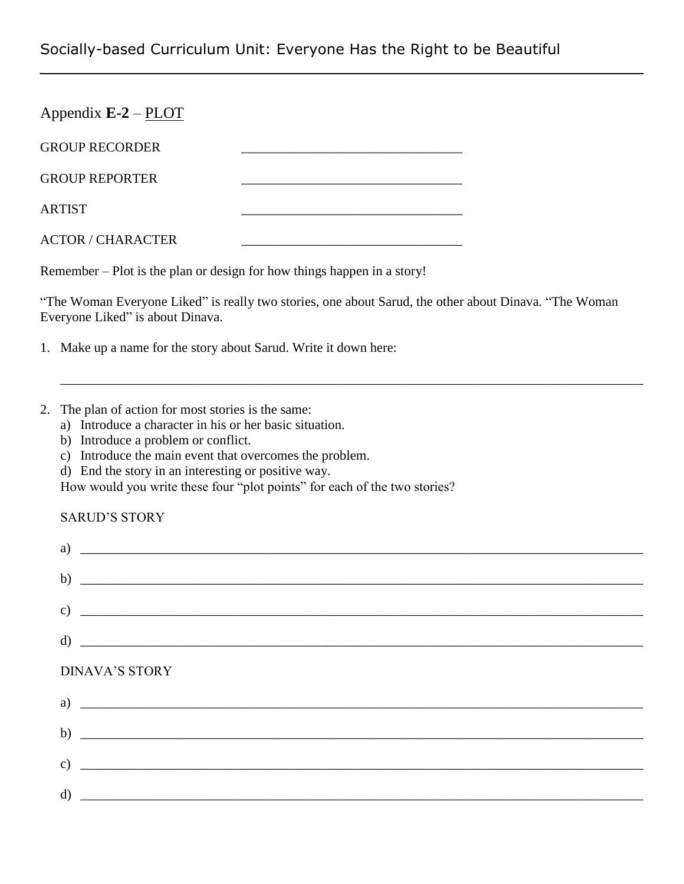| Appendix $E-2 - PLOT$    |  |
|--------------------------|--|
| <b>GROUP RECORDER</b>    |  |
| <b>GROUP REPORTER</b>    |  |
| <b>ARTIST</b>            |  |
| <b>ACTOR / CHARACTER</b> |  |

Remember – Plot is the plan or design for how things happen in a story!

"The Woman Everyone Liked" is really two stories, one about Sarud, the other about Dinava. "The Woman Everyone Liked" is about Dinava.

\_\_\_\_\_\_\_\_\_\_\_\_\_\_\_\_\_\_\_\_\_\_\_\_\_\_\_\_\_\_\_\_\_\_\_\_\_\_\_\_\_\_\_\_\_\_\_\_\_\_\_\_\_\_\_\_\_\_\_\_\_\_\_\_\_\_\_\_\_\_\_\_\_\_\_\_\_\_\_\_\_\_\_\_\_\_\_

- 1. Make up a name for the story about Sarud. Write it down here:
- 2. The plan of action for most stories is the same:
	- a) Introduce a character in his or her basic situation.
	- b) Introduce a problem or conflict.
	- c) Introduce the main event that overcomes the problem.
	- d) End the story in an interesting or positive way.

How would you write these four "plot points" for each of the two stories?

### SARUD"S STORY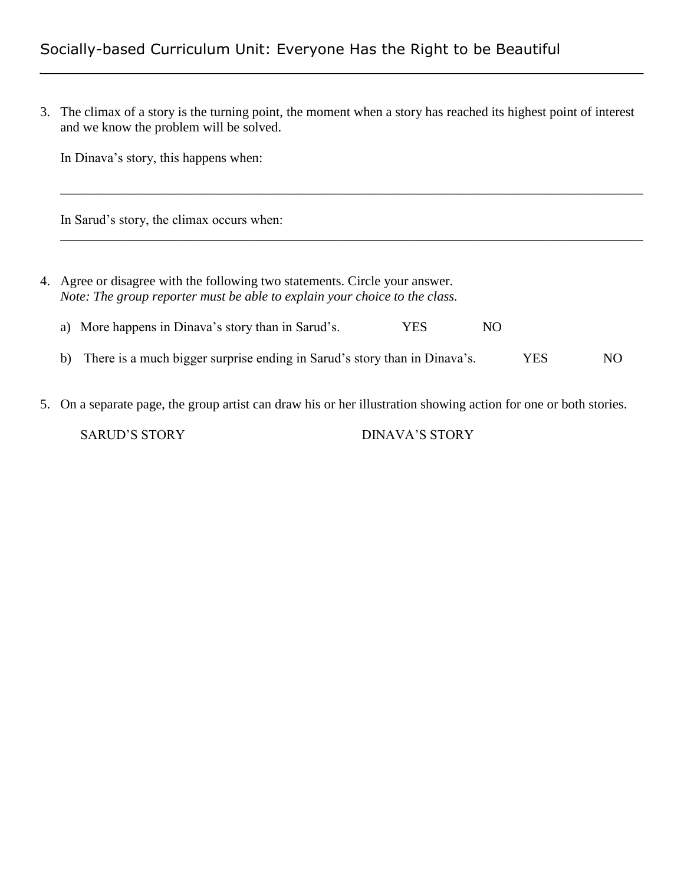3. The climax of a story is the turning point, the moment when a story has reached its highest point of interest and we know the problem will be solved.

\_\_\_\_\_\_\_\_\_\_\_\_\_\_\_\_\_\_\_\_\_\_\_\_\_\_\_\_\_\_\_\_\_\_\_\_\_\_\_\_\_\_\_\_\_\_\_\_\_\_\_\_\_\_\_\_\_\_\_\_\_\_\_\_\_\_\_\_\_\_\_\_\_\_\_\_\_\_\_\_\_\_\_\_\_\_\_

\_\_\_\_\_\_\_\_\_\_\_\_\_\_\_\_\_\_\_\_\_\_\_\_\_\_\_\_\_\_\_\_\_\_\_\_\_\_\_\_\_\_\_\_\_\_\_\_\_\_\_\_\_\_\_\_\_\_\_\_\_\_\_\_\_\_\_\_\_\_\_\_\_\_\_\_\_\_\_\_\_\_\_\_\_\_\_

In Dinava"s story, this happens when:

In Sarud"s story, the climax occurs when:

| 4. Agree or disagree with the following two statements. Circle your answer.<br>Note: The group reporter must be able to explain your choice to the class. |      |     |  |
|-----------------------------------------------------------------------------------------------------------------------------------------------------------|------|-----|--|
| a) More happens in Dinava's story than in Sarud's.                                                                                                        | YES. | NO. |  |

- b) There is a much bigger surprise ending in Sarud's story than in Dinava's. YES NO
- 5. On a separate page, the group artist can draw his or her illustration showing action for one or both stories.

SARUD'S STORY DINAVA'S STORY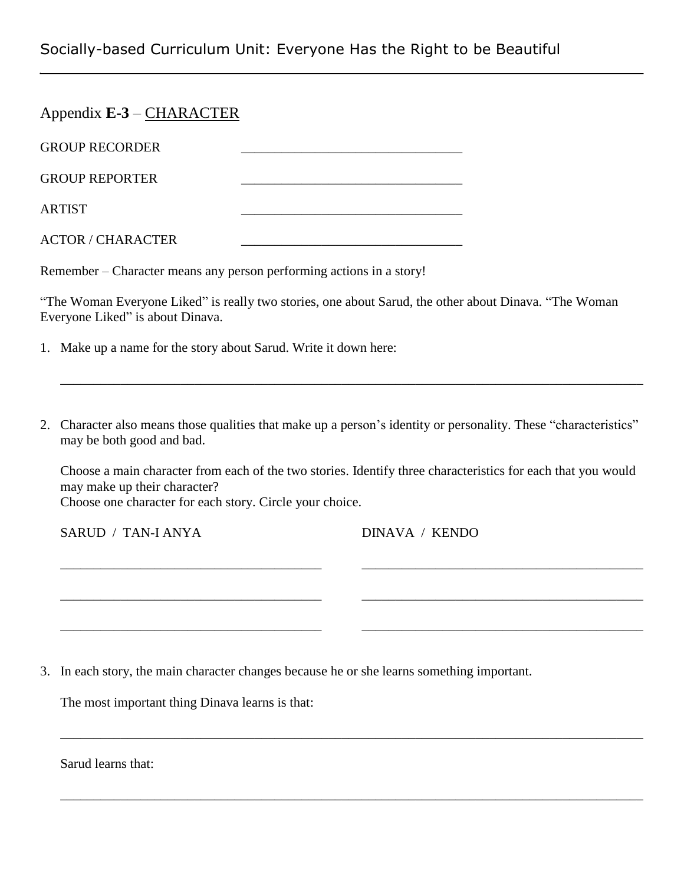| Appendix E-3 – CHARACTER |  |  |
|--------------------------|--|--|
| <b>GROUP RECORDER</b>    |  |  |
| <b>GROUP REPORTER</b>    |  |  |
| <b>ARTIST</b>            |  |  |
| <b>ACTOR / CHARACTER</b> |  |  |

Remember – Character means any person performing actions in a story!

"The Woman Everyone Liked" is really two stories, one about Sarud, the other about Dinava. "The Woman Everyone Liked" is about Dinava.

- 1. Make up a name for the story about Sarud. Write it down here:
- 2. Character also means those qualities that make up a person"s identity or personality. These "characteristics" may be both good and bad.

\_\_\_\_\_\_\_\_\_\_\_\_\_\_\_\_\_\_\_\_\_\_\_\_\_\_\_\_\_\_\_\_\_\_\_\_\_\_\_\_\_\_\_\_\_\_\_\_\_\_\_\_\_\_\_\_\_\_\_\_\_\_\_\_\_\_\_\_\_\_\_\_\_\_\_\_\_\_\_\_\_\_\_\_\_\_\_

Choose a main character from each of the two stories. Identify three characteristics for each that you would may make up their character?

\_\_\_\_\_\_\_\_\_\_\_\_\_\_\_\_\_\_\_\_\_\_\_\_\_\_\_\_\_\_\_\_\_\_\_\_\_\_\_ \_\_\_\_\_\_\_\_\_\_\_\_\_\_\_\_\_\_\_\_\_\_\_\_\_\_\_\_\_\_\_\_\_\_\_\_\_\_\_\_\_\_

\_\_\_\_\_\_\_\_\_\_\_\_\_\_\_\_\_\_\_\_\_\_\_\_\_\_\_\_\_\_\_\_\_\_\_\_\_\_\_ \_\_\_\_\_\_\_\_\_\_\_\_\_\_\_\_\_\_\_\_\_\_\_\_\_\_\_\_\_\_\_\_\_\_\_\_\_\_\_\_\_\_

\_\_\_\_\_\_\_\_\_\_\_\_\_\_\_\_\_\_\_\_\_\_\_\_\_\_\_\_\_\_\_\_\_\_\_\_\_\_\_ \_\_\_\_\_\_\_\_\_\_\_\_\_\_\_\_\_\_\_\_\_\_\_\_\_\_\_\_\_\_\_\_\_\_\_\_\_\_\_\_\_\_

\_\_\_\_\_\_\_\_\_\_\_\_\_\_\_\_\_\_\_\_\_\_\_\_\_\_\_\_\_\_\_\_\_\_\_\_\_\_\_\_\_\_\_\_\_\_\_\_\_\_\_\_\_\_\_\_\_\_\_\_\_\_\_\_\_\_\_\_\_\_\_\_\_\_\_\_\_\_\_\_\_\_\_\_\_\_\_

\_\_\_\_\_\_\_\_\_\_\_\_\_\_\_\_\_\_\_\_\_\_\_\_\_\_\_\_\_\_\_\_\_\_\_\_\_\_\_\_\_\_\_\_\_\_\_\_\_\_\_\_\_\_\_\_\_\_\_\_\_\_\_\_\_\_\_\_\_\_\_\_\_\_\_\_\_\_\_\_\_\_\_\_\_\_\_

Choose one character for each story. Circle your choice.

SARUD / TAN-I ANYA DINAVA / KENDO

3. In each story, the main character changes because he or she learns something important.

The most important thing Dinava learns is that:

Sarud learns that: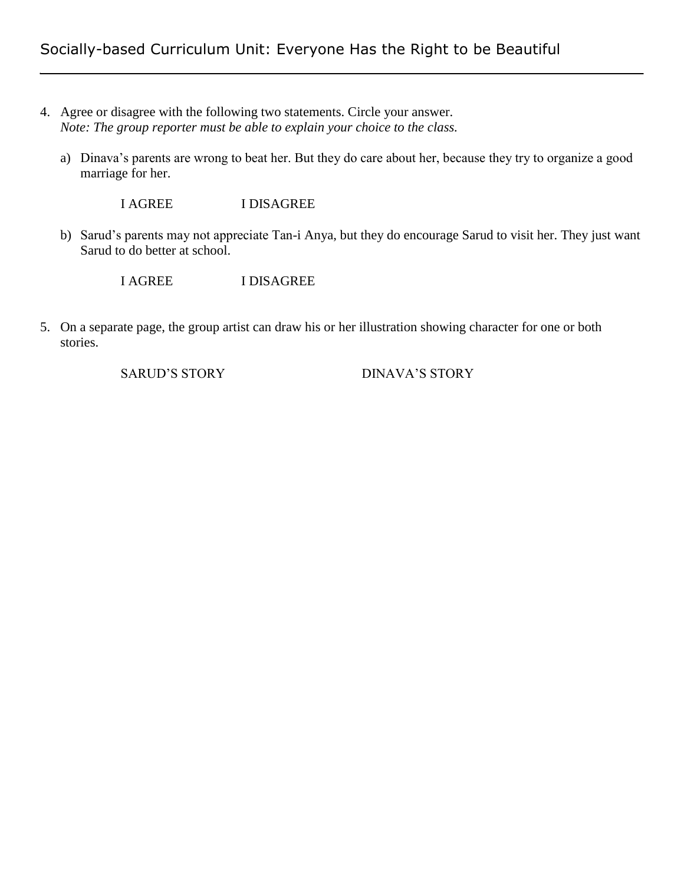- 4. Agree or disagree with the following two statements. Circle your answer. *Note: The group reporter must be able to explain your choice to the class.*
	- a) Dinava"s parents are wrong to beat her. But they do care about her, because they try to organize a good marriage for her.

I AGREE I DISAGREE

b) Sarud"s parents may not appreciate Tan-i Anya, but they do encourage Sarud to visit her. They just want Sarud to do better at school.

I AGREE I DISAGREE

5. On a separate page, the group artist can draw his or her illustration showing character for one or both stories.

SARUD'S STORY DINAVA'S STORY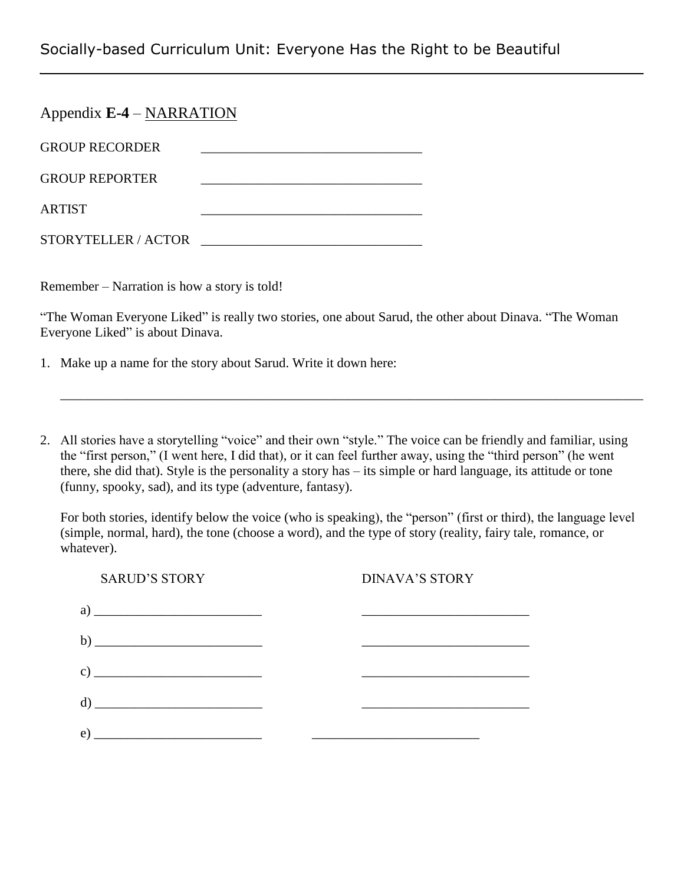| Appendix E-4 – NARRATION |  |  |
|--------------------------|--|--|
| <b>GROUP RECORDER</b>    |  |  |
| <b>GROUP REPORTER</b>    |  |  |
| <b>ARTIST</b>            |  |  |
| STORYTELLER / ACTOR      |  |  |

Remember – Narration is how a story is told!

"The Woman Everyone Liked" is really two stories, one about Sarud, the other about Dinava. "The Woman Everyone Liked" is about Dinava.

- 1. Make up a name for the story about Sarud. Write it down here:
- 2. All stories have a storytelling "voice" and their own "style." The voice can be friendly and familiar, using the "first person," (I went here, I did that), or it can feel further away, using the "third person" (he went there, she did that). Style is the personality a story has – its simple or hard language, its attitude or tone (funny, spooky, sad), and its type (adventure, fantasy).

\_\_\_\_\_\_\_\_\_\_\_\_\_\_\_\_\_\_\_\_\_\_\_\_\_\_\_\_\_\_\_\_\_\_\_\_\_\_\_\_\_\_\_\_\_\_\_\_\_\_\_\_\_\_\_\_\_\_\_\_\_\_\_\_\_\_\_\_\_\_\_\_\_\_\_\_\_\_\_\_\_\_\_\_\_\_\_

For both stories, identify below the voice (who is speaking), the "person" (first or third), the language level (simple, normal, hard), the tone (choose a word), and the type of story (reality, fairy tale, romance, or whatever).

| <b>SARUD'S STORY</b>                                                                                                             | <b>DINAVA'S STORY</b> |
|----------------------------------------------------------------------------------------------------------------------------------|-----------------------|
|                                                                                                                                  |                       |
|                                                                                                                                  |                       |
| $\circ$ )<br><u> 1989 - Johann Barn, mars ann an t-Amhain an t-Amhain an t-Amhain an t-Amhain an t-Amhain an t-Amhain an t-A</u> |                       |
|                                                                                                                                  |                       |
| e)<br><u> 1989 - Johann Barn, mars eta bainar eta bat erroman erroman erroman erroman erroman erroman erroman erroman e</u>      |                       |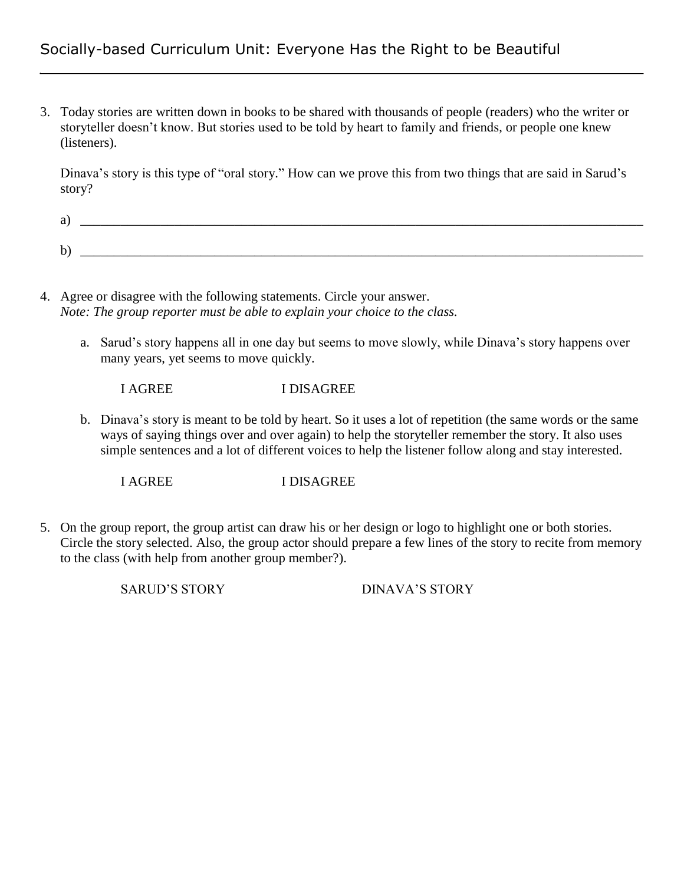3. Today stories are written down in books to be shared with thousands of people (readers) who the writer or storyteller doesn"t know. But stories used to be told by heart to family and friends, or people one knew (listeners).

Dinava's story is this type of "oral story." How can we prove this from two things that are said in Sarud's story?

- a)  $\Box$ b)  $\Box$
- 4. Agree or disagree with the following statements. Circle your answer. *Note: The group reporter must be able to explain your choice to the class.*
	- a. Sarud"s story happens all in one day but seems to move slowly, while Dinava"s story happens over many years, yet seems to move quickly.

### I AGREE I DISAGREE

b. Dinava"s story is meant to be told by heart. So it uses a lot of repetition (the same words or the same ways of saying things over and over again) to help the storyteller remember the story. It also uses simple sentences and a lot of different voices to help the listener follow along and stay interested.

I AGREE I DISAGREE

5. On the group report, the group artist can draw his or her design or logo to highlight one or both stories. Circle the story selected. Also, the group actor should prepare a few lines of the story to recite from memory to the class (with help from another group member?).

SARUD'S STORY DINAVA'S STORY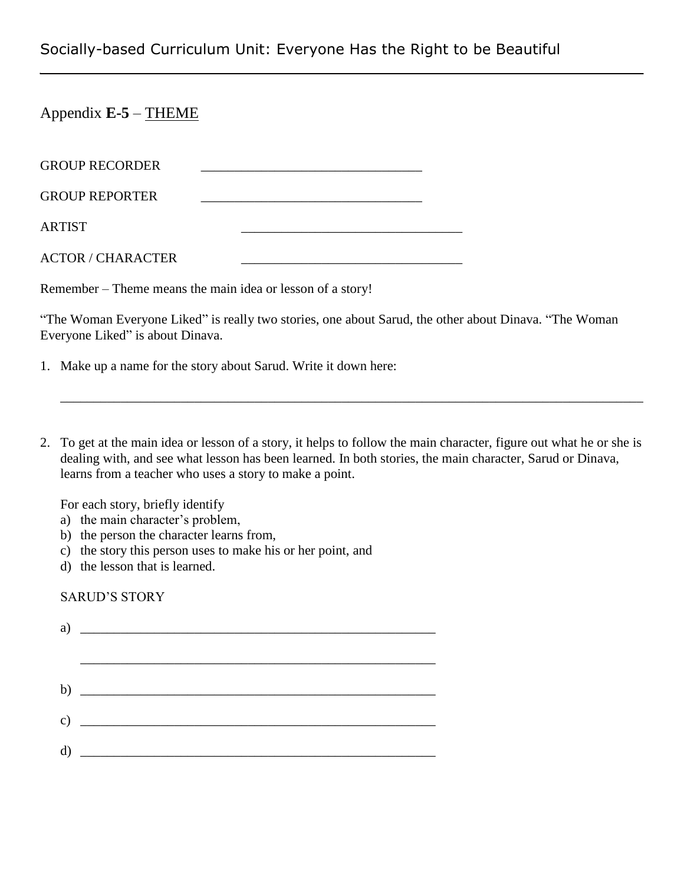Appendix **E-5** – THEME

| <b>GROUP RECORDER</b>    |  |
|--------------------------|--|
| <b>GROUP REPORTER</b>    |  |
| <b>ARTIST</b>            |  |
| <b>ACTOR / CHARACTER</b> |  |

Remember – Theme means the main idea or lesson of a story!

"The Woman Everyone Liked" is really two stories, one about Sarud, the other about Dinava. "The Woman Everyone Liked" is about Dinava.

- 1. Make up a name for the story about Sarud. Write it down here:
- 2. To get at the main idea or lesson of a story, it helps to follow the main character, figure out what he or she is dealing with, and see what lesson has been learned. In both stories, the main character, Sarud or Dinava, learns from a teacher who uses a story to make a point.

\_\_\_\_\_\_\_\_\_\_\_\_\_\_\_\_\_\_\_\_\_\_\_\_\_\_\_\_\_\_\_\_\_\_\_\_\_\_\_\_\_\_\_\_\_\_\_\_\_\_\_\_\_\_\_\_\_\_\_\_\_\_\_\_\_\_\_\_\_\_\_\_\_\_\_\_\_\_\_\_\_\_\_\_\_\_\_

For each story, briefly identify

- a) the main character's problem,
- b) the person the character learns from,
- c) the story this person uses to make his or her point, and
- d) the lesson that is learned.

## SARUD"S STORY

| a) $\overline{\phantom{a}}$ |
|-----------------------------|
|                             |
|                             |
|                             |
|                             |
|                             |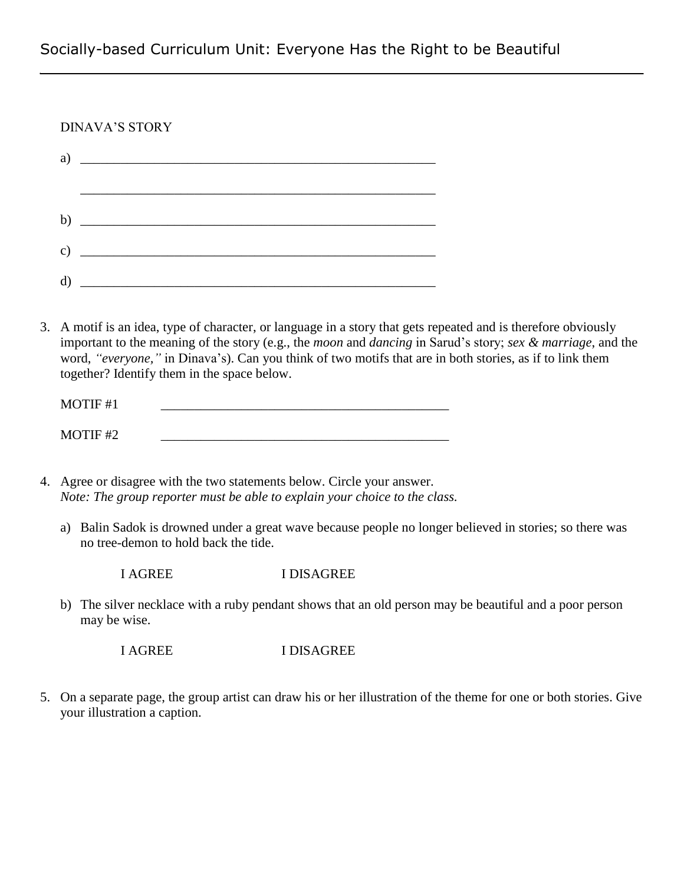|                 | <b>DINAVA'S STORY</b>                                                                                                 |
|-----------------|-----------------------------------------------------------------------------------------------------------------------|
| a)              | <u> Alexandro de la construcción de la construcción de la construcción de la construcción de la construcción de l</u> |
|                 |                                                                                                                       |
|                 |                                                                                                                       |
| b)              | <u> 1980 - Andrea Andrew Maria (h. 1980).</u>                                                                         |
|                 |                                                                                                                       |
| $\mathcal{C}$ ) |                                                                                                                       |
|                 | <u> 1989 - Johann Stein, mars et al. 1989 - Ann an t-Amerikaansk foarmen fan it ferskearre fan de Fryske k</u>        |

3. A motif is an idea, type of character, or language in a story that gets repeated and is therefore obviously important to the meaning of the story (e.g., the *moon* and *dancing* in Sarud"s story; *sex & marriage*, and the word, "everyone," in Dinava's). Can you think of two motifs that are in both stories, as if to link them together? Identify them in the space below.

| MOTIF#1 |  |
|---------|--|
|         |  |
| MOTIF#2 |  |

- 4. Agree or disagree with the two statements below. Circle your answer. *Note: The group reporter must be able to explain your choice to the class.*
	- a) Balin Sadok is drowned under a great wave because people no longer believed in stories; so there was no tree-demon to hold back the tide.

I AGREE I DISAGREE

b) The silver necklace with a ruby pendant shows that an old person may be beautiful and a poor person may be wise.

I AGREE I DISAGREE

5. On a separate page, the group artist can draw his or her illustration of the theme for one or both stories. Give your illustration a caption.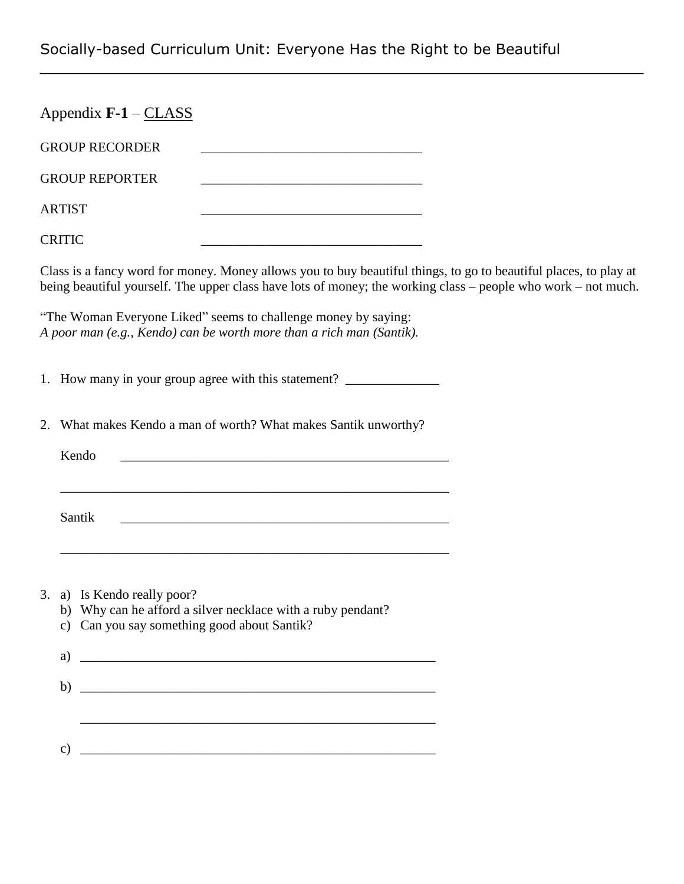| Appendix $F-1 - \frac{CLASS}{}$                                                                                                                                                                                                   |
|-----------------------------------------------------------------------------------------------------------------------------------------------------------------------------------------------------------------------------------|
| <b>GROUP RECORDER</b>                                                                                                                                                                                                             |
| <b>GROUP REPORTER</b>                                                                                                                                                                                                             |
| <b>ARTIST</b>                                                                                                                                                                                                                     |
| <b>CRITIC</b>                                                                                                                                                                                                                     |
| Class is a fancy word for money. Money allows you to buy beautiful things, to go to beautiful places, to play at<br>being beautiful yourself. The upper class have lots of money; the working class – people who work – not much. |
| "The Woman Everyone Liked" seems to challenge money by saying:<br>A poor man (e.g., Kendo) can be worth more than a rich man (Santik).                                                                                            |
| 1. How many in your group agree with this statement?                                                                                                                                                                              |
| 2. What makes Kendo a man of worth? What makes Santik unworthy?                                                                                                                                                                   |
|                                                                                                                                                                                                                                   |

| Kendo  |  |  |  |
|--------|--|--|--|
|        |  |  |  |
|        |  |  |  |
| Santik |  |  |  |
|        |  |  |  |

\_\_\_\_\_\_\_\_\_\_\_\_\_\_\_\_\_\_\_\_\_\_\_\_\_\_\_\_\_\_\_\_\_\_\_\_\_\_\_\_\_\_\_\_\_\_\_\_\_\_\_\_\_\_\_\_\_\_

- 3. a) Is Kendo really poor?
	- b) Why can he afford a silver necklace with a ruby pendant?
	- c) Can you say something good about Santik?

| a)           | <u> 1980 - Andrea Andrew Maria (h. 1980).</u>                                   |
|--------------|---------------------------------------------------------------------------------|
|              |                                                                                 |
|              | b) $\qquad \qquad$                                                              |
|              |                                                                                 |
|              |                                                                                 |
| $\mathbf{C}$ | the contract of the contract of the contract of the contract of the contract of |
|              |                                                                                 |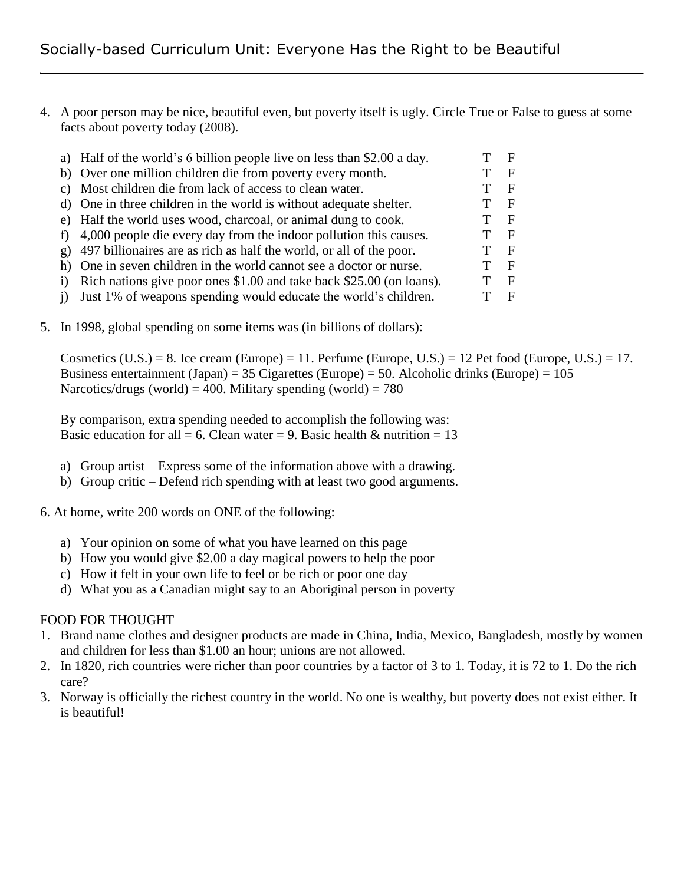4. A poor person may be nice, beautiful even, but poverty itself is ugly. Circle True or False to guess at some facts about poverty today (2008).

| a) Half of the world's 6 billion people live on less than \$2.00 a day. |   |
|-------------------------------------------------------------------------|---|
| b) Over one million children die from poverty every month.              |   |
| c) Most children die from lack of access to clean water.                | F |
| d) One in three children in the world is without adequate shelter.      | F |
| e) Half the world uses wood, charcoal, or animal dung to cook.          | F |
| f) $4,000$ people die every day from the indoor pollution this causes.  | F |
| g) 497 billionaires are as rich as half the world, or all of the poor.  | F |
| h) One in seven children in the world cannot see a doctor or nurse.     | F |
| i) Rich nations give poor ones \$1.00 and take back \$25.00 (on loans). | F |
| i) Just 1% of weapons spending would educate the world's children.      |   |

5. In 1998, global spending on some items was (in billions of dollars):

Cosmetics  $(U.S.) = 8$ . Ice cream (Europe) = 11. Perfume (Europe, U.S.) = 12 Pet food (Europe, U.S.) = 17. Business entertainment (Japan) = 35 Cigarettes (Europe) = 50. Alcoholic drinks (Europe) =  $105$ Narcotics/drugs (world) = 400. Military spending (world) = 780

By comparison, extra spending needed to accomplish the following was: Basic education for all = 6. Clean water = 9. Basic health & nutrition = 13

- a) Group artist Express some of the information above with a drawing.
- b) Group critic Defend rich spending with at least two good arguments.

6. At home, write 200 words on ONE of the following:

- a) Your opinion on some of what you have learned on this page
- b) How you would give \$2.00 a day magical powers to help the poor
- c) How it felt in your own life to feel or be rich or poor one day
- d) What you as a Canadian might say to an Aboriginal person in poverty

## FOOD FOR THOUGHT –

- 1. Brand name clothes and designer products are made in China, India, Mexico, Bangladesh, mostly by women and children for less than \$1.00 an hour; unions are not allowed.
- 2. In 1820, rich countries were richer than poor countries by a factor of 3 to 1. Today, it is 72 to 1. Do the rich care?
- 3. Norway is officially the richest country in the world. No one is wealthy, but poverty does not exist either. It is beautiful!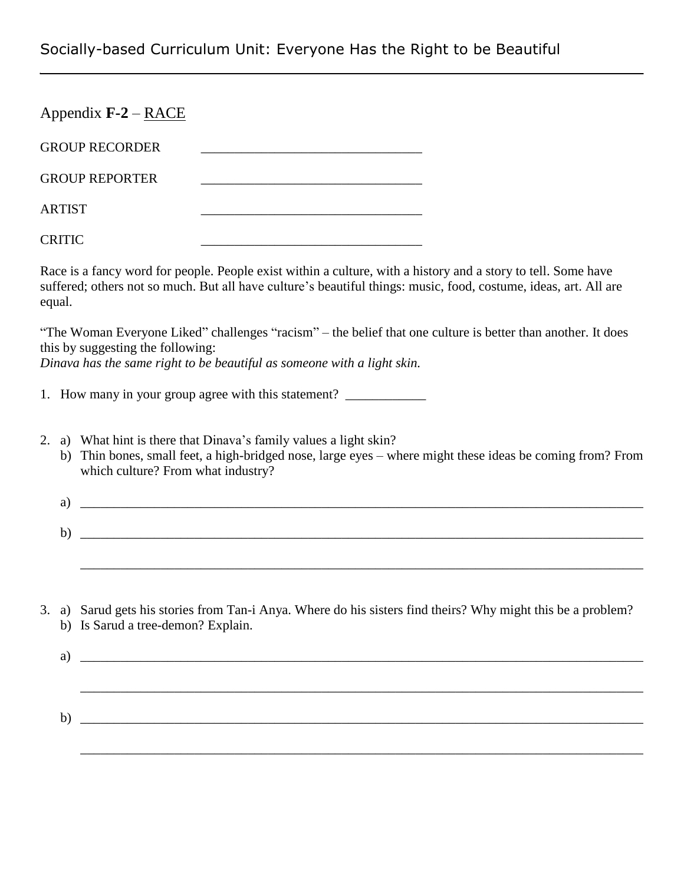| Appendix $F-2 - RACE$ |  |
|-----------------------|--|
| <b>GROUP RECORDER</b> |  |
| <b>GROUP REPORTER</b> |  |
| <b>ARTIST</b>         |  |
| <b>CRITIC</b>         |  |

Race is a fancy word for people. People exist within a culture, with a history and a story to tell. Some have suffered; others not so much. But all have culture's beautiful things: music, food, costume, ideas, art. All are equal.

"The Woman Everyone Liked" challenges "racism" – the belief that one culture is better than another. It does this by suggesting the following: *Dinava has the same right to be beautiful as someone with a light skin.*

1. How many in your group agree with this statement?

- 2. a) What hint is there that Dinava"s family values a light skin?
	- b) Thin bones, small feet, a high-bridged nose, large eyes where might these ideas be coming from? From which culture? From what industry?

| a. |  |
|----|--|
|    |  |
|    |  |
|    |  |
|    |  |
|    |  |

3. a) Sarud gets his stories from Tan-i Anya. Where do his sisters find theirs? Why might this be a problem? b) Is Sarud a tree-demon? Explain.

| a |  |
|---|--|
|   |  |
|   |  |
|   |  |
| h |  |
|   |  |
|   |  |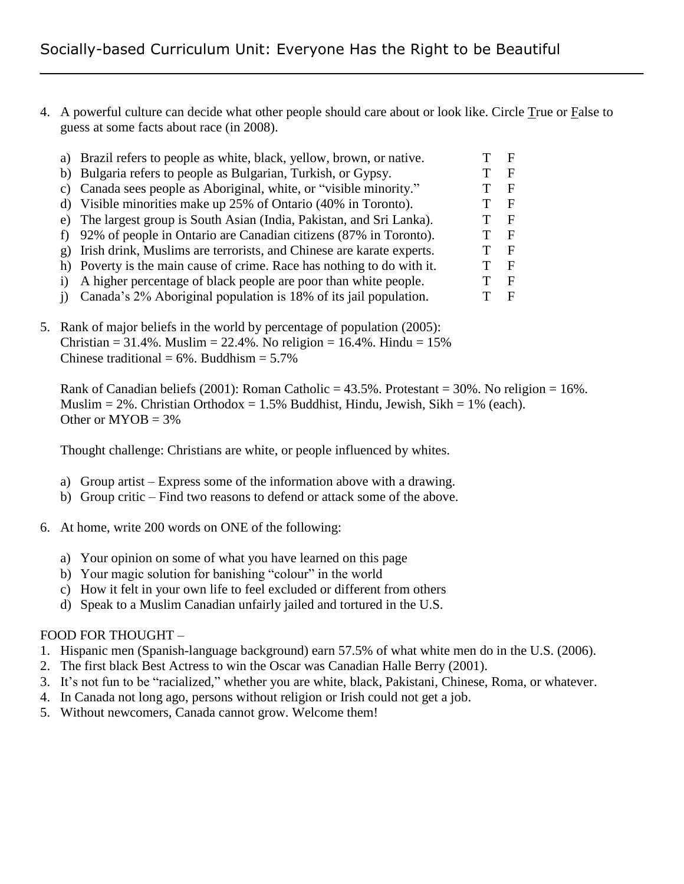4. A powerful culture can decide what other people should care about or look like. Circle True or False to guess at some facts about race (in 2008).

| a) Brazil refers to people as white, black, yellow, brown, or native.   | F           |
|-------------------------------------------------------------------------|-------------|
| b) Bulgaria refers to people as Bulgarian, Turkish, or Gypsy.           | F           |
| c) Canada sees people as Aboriginal, white, or "visible minority."      | F           |
| d) Visible minorities make up 25% of Ontario (40% in Toronto).          | F           |
| e) The largest group is South Asian (India, Pakistan, and Sri Lanka).   | $\mathbf F$ |
| f) 92% of people in Ontario are Canadian citizens (87% in Toronto).     | F           |
| g) Irish drink, Muslims are terrorists, and Chinese are karate experts. | F           |
| h) Poverty is the main cause of crime. Race has nothing to do with it.  | F           |
| A higher percentage of black people are poor than white people.         | F           |
| Canada's 2% Aboriginal population is 18% of its jail population.        | F           |

5. Rank of major beliefs in the world by percentage of population (2005): Christian =  $31.4\%$ . Muslim =  $22.4\%$ . No religion =  $16.4\%$ . Hindu =  $15\%$ Chinese traditional =  $6\%$ . Buddhism =  $5.7\%$ 

Rank of Canadian beliefs (2001): Roman Catholic =  $43.5\%$ . Protestant =  $30\%$ . No religion =  $16\%$ . Muslim = 2%. Christian Orthodox = 1.5% Buddhist, Hindu, Jewish, Sikh = 1% (each). Other or  $MYOB = 3%$ 

Thought challenge: Christians are white, or people influenced by whites.

- a) Group artist Express some of the information above with a drawing.
- b) Group critic Find two reasons to defend or attack some of the above.
- 6. At home, write 200 words on ONE of the following:
	- a) Your opinion on some of what you have learned on this page
	- b) Your magic solution for banishing "colour" in the world
	- c) How it felt in your own life to feel excluded or different from others
	- d) Speak to a Muslim Canadian unfairly jailed and tortured in the U.S.

## FOOD FOR THOUGHT –

- 1. Hispanic men (Spanish-language background) earn 57.5% of what white men do in the U.S. (2006).
- 2. The first black Best Actress to win the Oscar was Canadian Halle Berry (2001).
- 3. It"s not fun to be "racialized," whether you are white, black, Pakistani, Chinese, Roma, or whatever.
- 4. In Canada not long ago, persons without religion or Irish could not get a job.
- 5. Without newcomers, Canada cannot grow. Welcome them!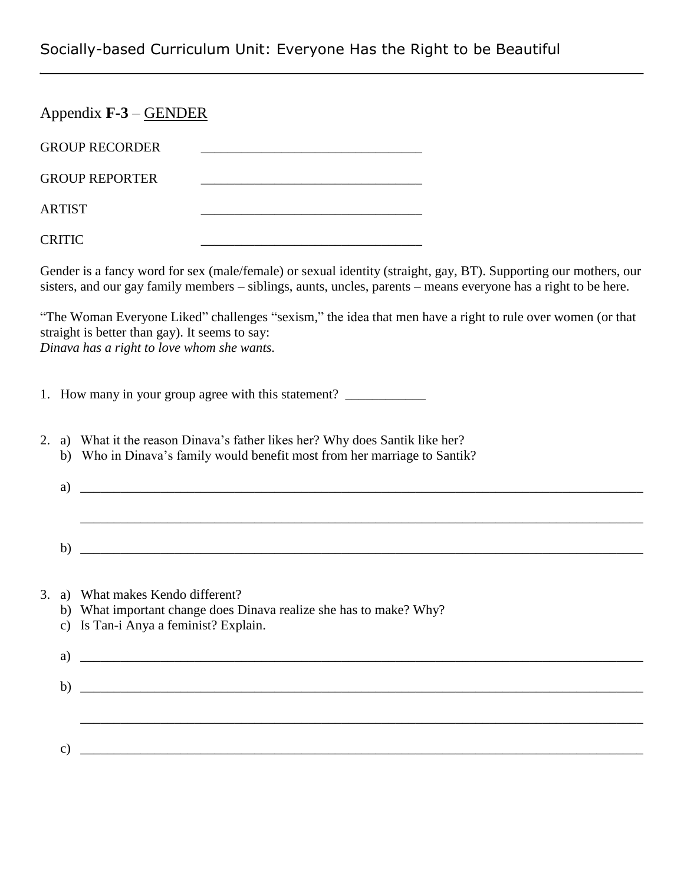| Appendix $F-3 - \underline{GENDER}$ |  |  |
|-------------------------------------|--|--|
| <b>GROUP RECORDER</b>               |  |  |
| <b>GROUP REPORTER</b>               |  |  |
| <b>ARTIST</b>                       |  |  |
| <b>CRITIC</b>                       |  |  |

Gender is a fancy word for sex (male/female) or sexual identity (straight, gay, BT). Supporting our mothers, our sisters, and our gay family members – siblings, aunts, uncles, parents – means everyone has a right to be here.

"The Woman Everyone Liked" challenges "sexism," the idea that men have a right to rule over women (or that straight is better than gay). It seems to say: *Dinava has a right to love whom she wants.*

1. How many in your group agree with this statement? \_\_\_\_\_\_\_\_\_\_\_\_\_\_\_\_\_\_\_\_\_\_\_\_\_\_\_

| 2. |                | a) What it the reason Dinava's father likes her? Why does Santik like her?<br>b) Who in Dinava's family would benefit most from her marriage to Santik? |
|----|----------------|---------------------------------------------------------------------------------------------------------------------------------------------------------|
|    | a)             |                                                                                                                                                         |
|    |                |                                                                                                                                                         |
|    | b)             | <u> Alexandria de la contrada de la contrada de la contrada de la contrada de la contrada de la contrada de la c</u>                                    |
|    |                |                                                                                                                                                         |
|    |                | 3. a) What makes Kendo different?                                                                                                                       |
|    |                | b) What important change does Dinava realize she has to make? Why?                                                                                      |
|    | $\mathbf{c}$ ) | Is Tan-i Anya a feminist? Explain.                                                                                                                      |
|    | a)             | <u> 1989 - Jan Barnett, fransk politiker (d. 1989)</u>                                                                                                  |
|    | b)             | <u> 2000 - 2000 - 2000 - 2000 - 2000 - 2000 - 2000 - 2000 - 2000 - 2000 - 2000 - 2000 - 2000 - 2000 - 2000 - 200</u>                                    |
|    |                |                                                                                                                                                         |

c)  $\Box$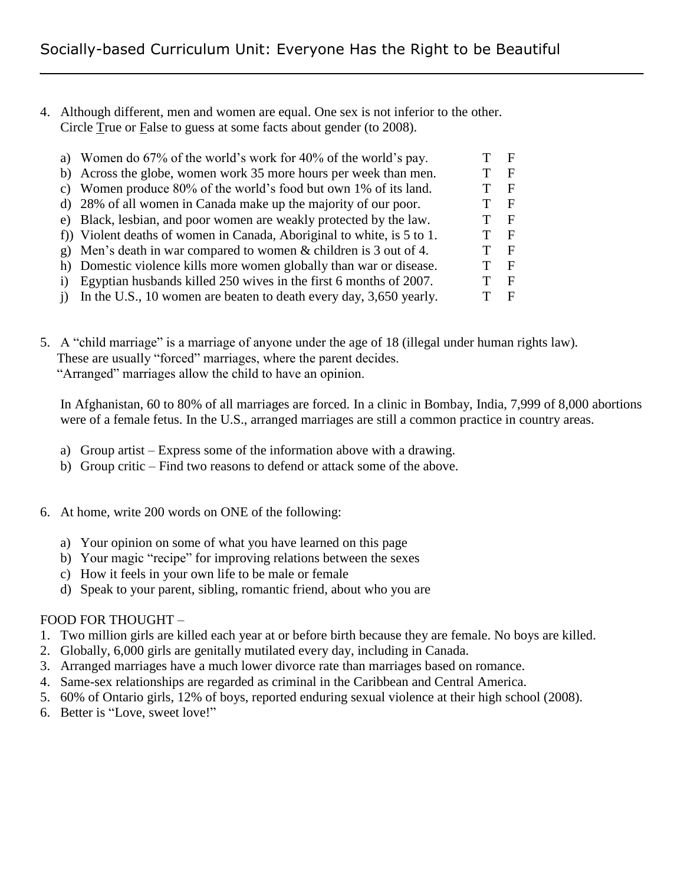4. Although different, men and women are equal. One sex is not inferior to the other. Circle True or False to guess at some facts about gender (to 2008).

| a) Women do 67% of the world's work for 40% of the world's pay.         | $\mathbf F$  |
|-------------------------------------------------------------------------|--------------|
| b) Across the globe, women work 35 more hours per week than men.        | F            |
| c) Women produce 80% of the world's food but own 1% of its land.        | $\mathbf F$  |
| d) 28% of all women in Canada make up the majority of our poor.         | $\mathbf{F}$ |
| e) Black, lesbian, and poor women are weakly protected by the law.      | $\mathbf F$  |
| f)) Violent deaths of women in Canada, Aboriginal to white, is 5 to 1.  | $\mathbf F$  |
| g) Men's death in war compared to women $&$ children is 3 out of 4.     | $\mathbf F$  |
| h) Domestic violence kills more women globally than war or disease.     | $\mathbf F$  |
| i) Egyptian husbands killed 250 wives in the first 6 months of 2007.    | $\mathbf{F}$ |
| i) In the U.S., 10 women are beaten to death every day, $3,650$ yearly. | F            |

5. A "child marriage" is a marriage of anyone under the age of 18 (illegal under human rights law). These are usually "forced" marriages, where the parent decides. "Arranged" marriages allow the child to have an opinion.

In Afghanistan, 60 to 80% of all marriages are forced. In a clinic in Bombay, India, 7,999 of 8,000 abortions were of a female fetus. In the U.S., arranged marriages are still a common practice in country areas.

- a) Group artist Express some of the information above with a drawing.
- b) Group critic Find two reasons to defend or attack some of the above.
- 6. At home, write 200 words on ONE of the following:
	- a) Your opinion on some of what you have learned on this page
	- b) Your magic "recipe" for improving relations between the sexes
	- c) How it feels in your own life to be male or female
	- d) Speak to your parent, sibling, romantic friend, about who you are

## FOOD FOR THOUGHT –

- 1. Two million girls are killed each year at or before birth because they are female. No boys are killed.
- 2. Globally, 6,000 girls are genitally mutilated every day, including in Canada.
- 3. Arranged marriages have a much lower divorce rate than marriages based on romance.
- 4. Same-sex relationships are regarded as criminal in the Caribbean and Central America.
- 5. 60% of Ontario girls, 12% of boys, reported enduring sexual violence at their high school (2008).
- 6. Better is "Love, sweet love!"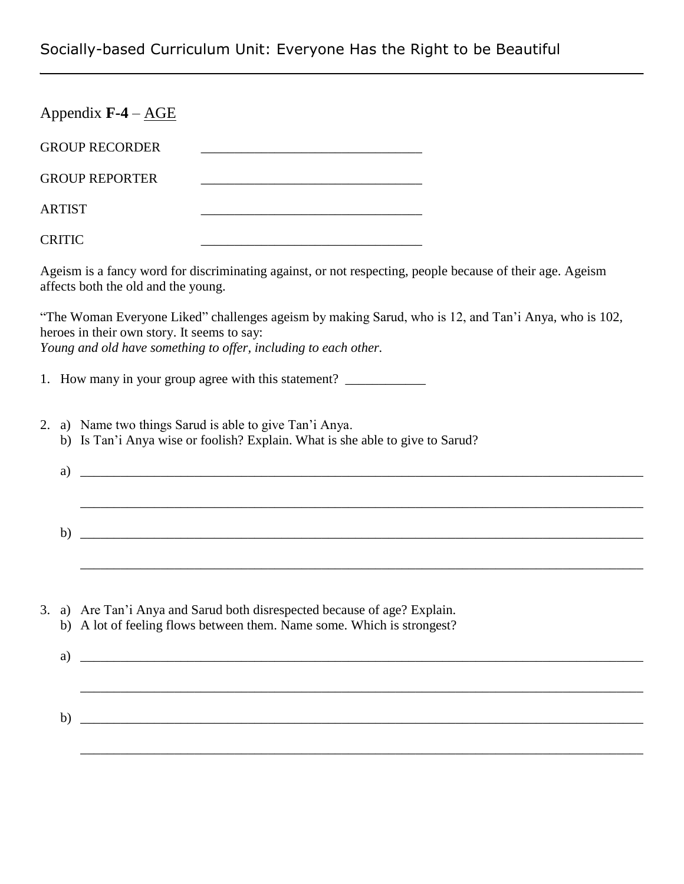|               | Appendix $\mathbf{F-4} - \underline{\text{AGE}}$                                                                                                                                                                       |
|---------------|------------------------------------------------------------------------------------------------------------------------------------------------------------------------------------------------------------------------|
|               | <b>GROUP RECORDER</b>                                                                                                                                                                                                  |
|               | <b>GROUP REPORTER</b><br><u> 1989 - Johann Barbara, martxa alemaniar amerikan baratzaren 1980an (h. 1989).</u>                                                                                                         |
| <b>ARTIST</b> |                                                                                                                                                                                                                        |
| <b>CRITIC</b> |                                                                                                                                                                                                                        |
|               | Ageism is a fancy word for discriminating against, or not respecting, people because of their age. Ageism<br>affects both the old and the young.                                                                       |
|               | "The Woman Everyone Liked" challenges ageism by making Sarud, who is 12, and Tan'i Anya, who is 102,<br>heroes in their own story. It seems to say:<br>Young and old have something to offer, including to each other. |
|               | 1. How many in your group agree with this statement? ___________________________                                                                                                                                       |
| 2.            | a) Name two things Sarud is able to give Tan'i Anya.<br>b) Is Tan'i Anya wise or foolish? Explain. What is she able to give to Sarud?                                                                                  |
| a)            |                                                                                                                                                                                                                        |
| b)            |                                                                                                                                                                                                                        |
|               |                                                                                                                                                                                                                        |
| 3.            | a) Are Tan'i Anya and Sarud both disrespected because of age? Explain.<br>b) A lot of feeling flows between them. Name some. Which is strongest?                                                                       |
| a)            |                                                                                                                                                                                                                        |

b) \_\_\_\_\_\_\_\_\_\_\_\_\_\_\_\_\_\_\_\_\_\_\_\_\_\_\_\_\_\_\_\_\_\_\_\_\_\_\_\_\_\_\_\_\_\_\_\_\_\_\_\_\_\_\_\_\_\_\_\_\_\_\_\_\_\_\_\_\_\_\_\_\_\_\_\_\_\_\_\_\_\_\_\_

\_\_\_\_\_\_\_\_\_\_\_\_\_\_\_\_\_\_\_\_\_\_\_\_\_\_\_\_\_\_\_\_\_\_\_\_\_\_\_\_\_\_\_\_\_\_\_\_\_\_\_\_\_\_\_\_\_\_\_\_\_\_\_\_\_\_\_\_\_\_\_\_\_\_\_\_\_\_\_\_\_\_\_\_

\_\_\_\_\_\_\_\_\_\_\_\_\_\_\_\_\_\_\_\_\_\_\_\_\_\_\_\_\_\_\_\_\_\_\_\_\_\_\_\_\_\_\_\_\_\_\_\_\_\_\_\_\_\_\_\_\_\_\_\_\_\_\_\_\_\_\_\_\_\_\_\_\_\_\_\_\_\_\_\_\_\_\_\_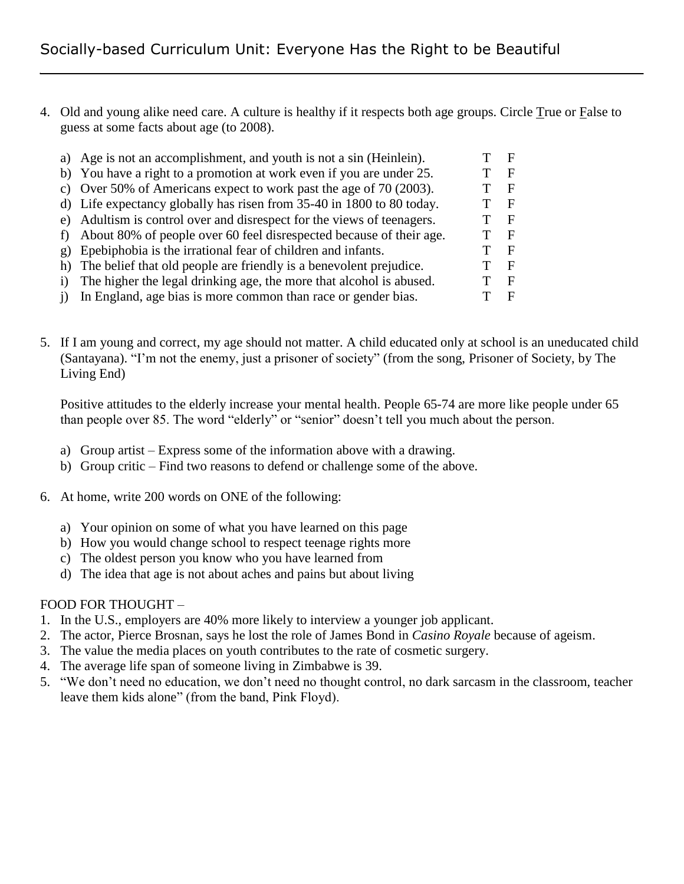4. Old and young alike need care. A culture is healthy if it respects both age groups. Circle True or False to guess at some facts about age (to 2008).

|              | a) Age is not an accomplishment, and youth is not a sin (Heinlein).    |   |
|--------------|------------------------------------------------------------------------|---|
|              | b) You have a right to a promotion at work even if you are under 25.   | H |
|              | c) Over 50% of Americans expect to work past the age of 70 (2003).     | Е |
|              | d) Life expectancy globally has risen from 35-40 in 1800 to 80 today.  | F |
|              | e) Adultism is control over and disrespect for the views of teenagers. | Е |
| f)           | About 80% of people over 60 feel disrespected because of their age.    | F |
|              | g) Epebiphobia is the irrational fear of children and infants.         | F |
|              | h) The belief that old people are friendly is a benevolent prejudice.  | Е |
| $\mathbf{i}$ | The higher the legal drinking age, the more that alcohol is abused.    | Е |
| $\ddot{1}$   | In England, age bias is more common than race or gender bias.          | F |

5. If I am young and correct, my age should not matter. A child educated only at school is an uneducated child (Santayana). "I"m not the enemy, just a prisoner of society" (from the song, Prisoner of Society, by The Living End)

Positive attitudes to the elderly increase your mental health. People 65-74 are more like people under 65 than people over 85. The word "elderly" or "senior" doesn"t tell you much about the person.

- a) Group artist Express some of the information above with a drawing.
- b) Group critic Find two reasons to defend or challenge some of the above.
- 6. At home, write 200 words on ONE of the following:
	- a) Your opinion on some of what you have learned on this page
	- b) How you would change school to respect teenage rights more
	- c) The oldest person you know who you have learned from
	- d) The idea that age is not about aches and pains but about living

## FOOD FOR THOUGHT –

- 1. In the U.S., employers are 40% more likely to interview a younger job applicant.
- 2. The actor, Pierce Brosnan, says he lost the role of James Bond in *Casino Royale* because of ageism.
- 3. The value the media places on youth contributes to the rate of cosmetic surgery.
- 4. The average life span of someone living in Zimbabwe is 39.
- 5. "We don"t need no education, we don"t need no thought control, no dark sarcasm in the classroom, teacher leave them kids alone" (from the band, Pink Floyd).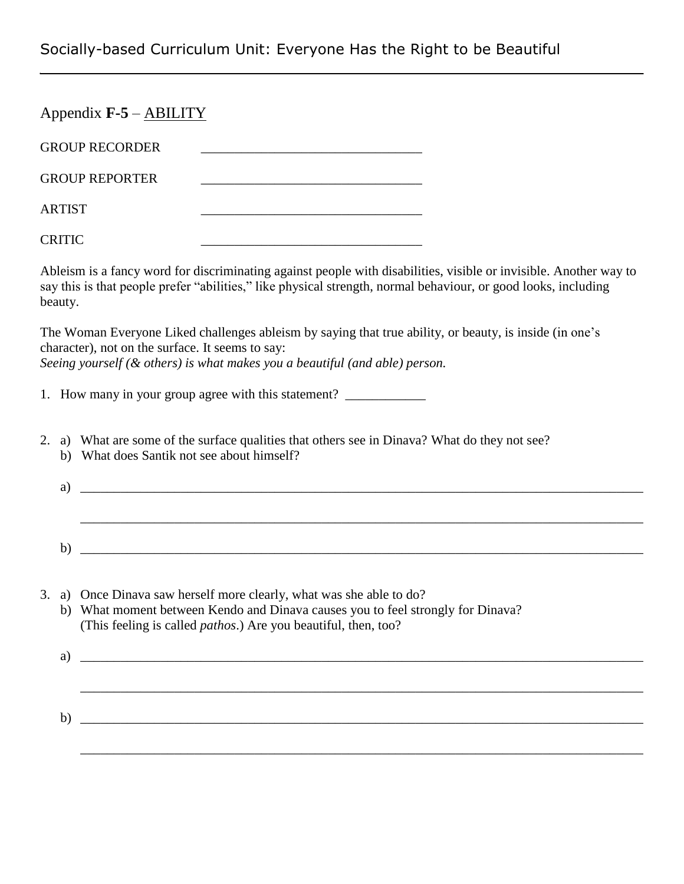| Appendix $F-5 - ABILITY$ |  |  |
|--------------------------|--|--|
| <b>GROUP RECORDER</b>    |  |  |
| <b>GROUP REPORTER</b>    |  |  |
| <b>ARTIST</b>            |  |  |
| <b>CRITIC</b>            |  |  |

Ableism is a fancy word for discriminating against people with disabilities, visible or invisible. Another way to say this is that people prefer "abilities," like physical strength, normal behaviour, or good looks, including beauty.

The Woman Everyone Liked challenges ableism by saying that true ability, or beauty, is inside (in one"s character), not on the surface. It seems to say: *Seeing yourself (& others) is what makes you a beautiful (and able) person.*

1. How many in your group agree with this statement? \_\_\_\_\_\_\_\_\_\_\_\_\_\_\_\_\_\_\_\_\_\_\_\_\_\_\_

| 2. |    | a) What are some of the surface qualities that others see in Dinava? What do they not see?<br>b) What does Santik not see about himself?                                                                                       |
|----|----|--------------------------------------------------------------------------------------------------------------------------------------------------------------------------------------------------------------------------------|
|    | a) |                                                                                                                                                                                                                                |
|    |    | b) $\overline{\phantom{a}}$                                                                                                                                                                                                    |
| 3. |    | a) Once Dinava saw herself more clearly, what was she able to do?<br>b) What moment between Kendo and Dinava causes you to feel strongly for Dinava?<br>(This feeling is called <i>pathos</i> .) Are you beautiful, then, too? |
|    | a) |                                                                                                                                                                                                                                |
|    | b) |                                                                                                                                                                                                                                |

\_\_\_\_\_\_\_\_\_\_\_\_\_\_\_\_\_\_\_\_\_\_\_\_\_\_\_\_\_\_\_\_\_\_\_\_\_\_\_\_\_\_\_\_\_\_\_\_\_\_\_\_\_\_\_\_\_\_\_\_\_\_\_\_\_\_\_\_\_\_\_\_\_\_\_\_\_\_\_\_\_\_\_\_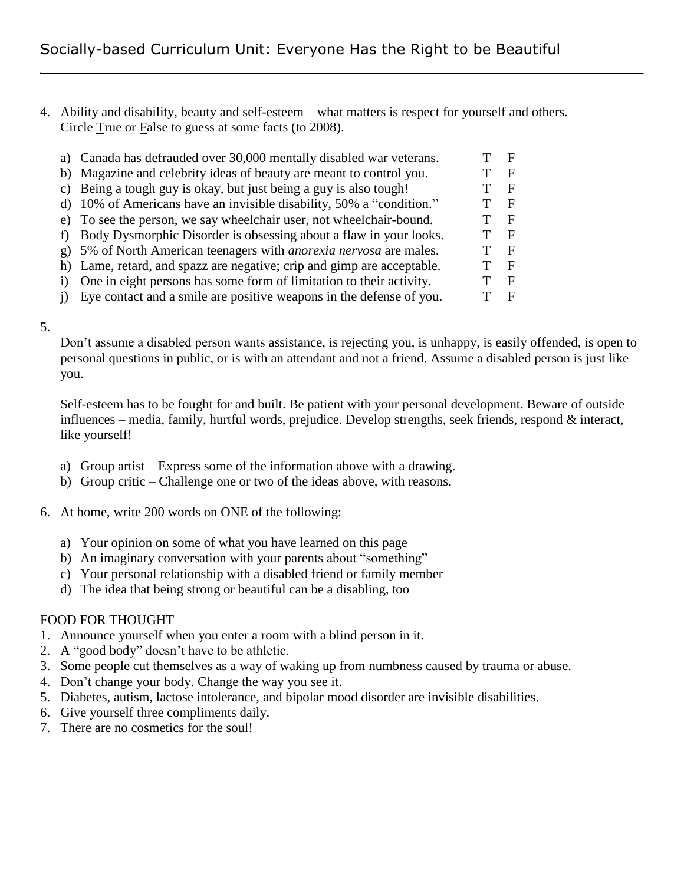4. Ability and disability, beauty and self-esteem – what matters is respect for yourself and others. Circle True or False to guess at some facts (to 2008).

|           | a) Canada has defrauded over 30,000 mentally disabled war veterans.       |   |
|-----------|---------------------------------------------------------------------------|---|
|           | b) Magazine and celebrity ideas of beauty are meant to control you.       |   |
|           | c) Being a tough guy is okay, but just being a guy is also tough!         |   |
|           | d) 10% of Americans have an invisible disability, 50% a "condition."      | F |
|           | e) To see the person, we say wheelchair user, not wheelchair-bound.       | F |
|           | f) Body Dysmorphic Disorder is obsessing about a flaw in your looks.      | E |
|           | g) 5% of North American teenagers with <i>anorexia nervosa</i> are males. |   |
|           | h) Lame, retard, and spazz are negative; crip and gimp are acceptable.    | Е |
| $\bf{1)}$ | One in eight persons has some form of limitation to their activity.       | Е |
|           | i) Eye contact and a smile are positive weapons in the defense of you.    |   |

## 5.

Don"t assume a disabled person wants assistance, is rejecting you, is unhappy, is easily offended, is open to personal questions in public, or is with an attendant and not a friend. Assume a disabled person is just like you.

Self-esteem has to be fought for and built. Be patient with your personal development. Beware of outside influences – media, family, hurtful words, prejudice. Develop strengths, seek friends, respond & interact, like yourself!

- a) Group artist Express some of the information above with a drawing.
- b) Group critic Challenge one or two of the ideas above, with reasons.
- 6. At home, write 200 words on ONE of the following:
	- a) Your opinion on some of what you have learned on this page
	- b) An imaginary conversation with your parents about "something"
	- c) Your personal relationship with a disabled friend or family member
	- d) The idea that being strong or beautiful can be a disabling, too

## FOOD FOR THOUGHT –

- 1. Announce yourself when you enter a room with a blind person in it.
- 2. A "good body" doesn"t have to be athletic.
- 3. Some people cut themselves as a way of waking up from numbness caused by trauma or abuse.
- 4. Don"t change your body. Change the way you see it.
- 5. Diabetes, autism, lactose intolerance, and bipolar mood disorder are invisible disabilities.
- 6. Give yourself three compliments daily.
- 7. There are no cosmetics for the soul!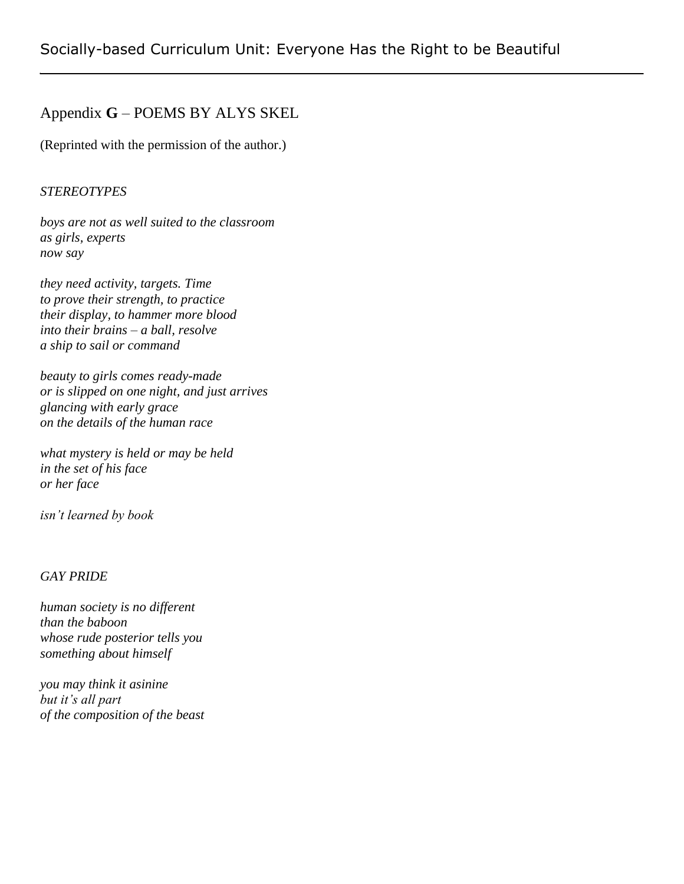## Appendix **G** – POEMS BY ALYS SKEL

(Reprinted with the permission of the author.)

### *STEREOTYPES*

*boys are not as well suited to the classroom as girls, experts now say*

*they need activity, targets. Time to prove their strength, to practice their display, to hammer more blood into their brains – a ball, resolve a ship to sail or command*

*beauty to girls comes ready-made or is slipped on one night, and just arrives glancing with early grace on the details of the human race*

*what mystery is held or may be held in the set of his face or her face*

*isn't learned by book*

### *GAY PRIDE*

*human society is no different than the baboon whose rude posterior tells you something about himself*

*you may think it asinine but it's all part of the composition of the beast*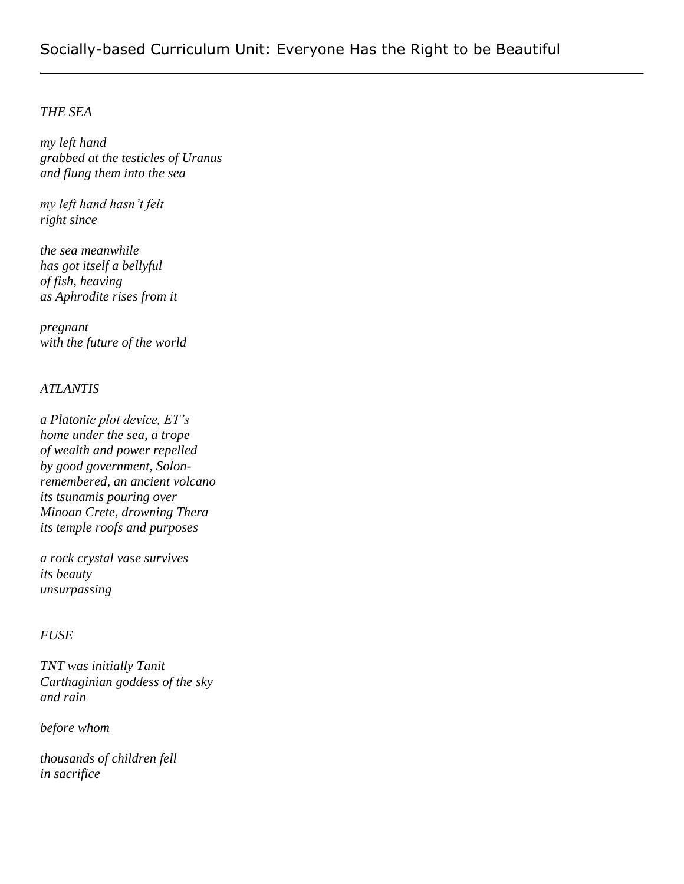### *THE SEA*

*my left hand grabbed at the testicles of Uranus and flung them into the sea*

*my left hand hasn't felt right since*

*the sea meanwhile has got itself a bellyful of fish, heaving as Aphrodite rises from it*

*pregnant with the future of the world*

### *ATLANTIS*

*a Platonic plot device, ET's home under the sea, a trope of wealth and power repelled by good government, Solonremembered, an ancient volcano its tsunamis pouring over Minoan Crete, drowning Thera its temple roofs and purposes*

*a rock crystal vase survives its beauty unsurpassing*

### *FUSE*

*TNT was initially Tanit Carthaginian goddess of the sky and rain*

*before whom*

*thousands of children fell in sacrifice*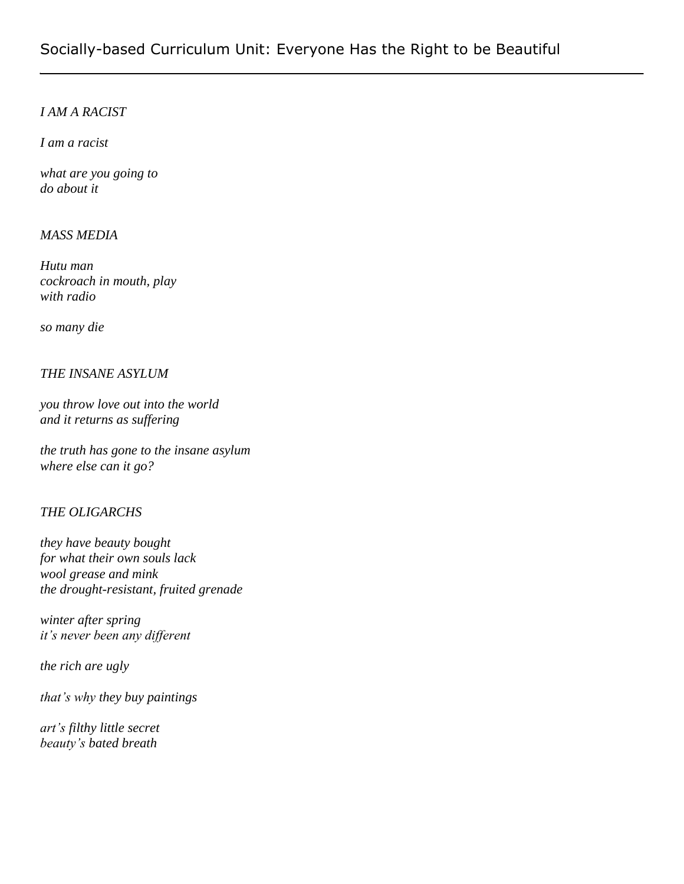## *I AM A RACIST*

*I am a racist*

*what are you going to do about it*

### *MASS MEDIA*

*Hutu man cockroach in mouth, play with radio*

*so many die*

### *THE INSANE ASYLUM*

*you throw love out into the world and it returns as suffering*

*the truth has gone to the insane asylum where else can it go?*

### *THE OLIGARCHS*

*they have beauty bought for what their own souls lack wool grease and mink the drought-resistant, fruited grenade*

*winter after spring it's never been any different*

*the rich are ugly*

*that's why they buy paintings*

*art's filthy little secret beauty's bated breath*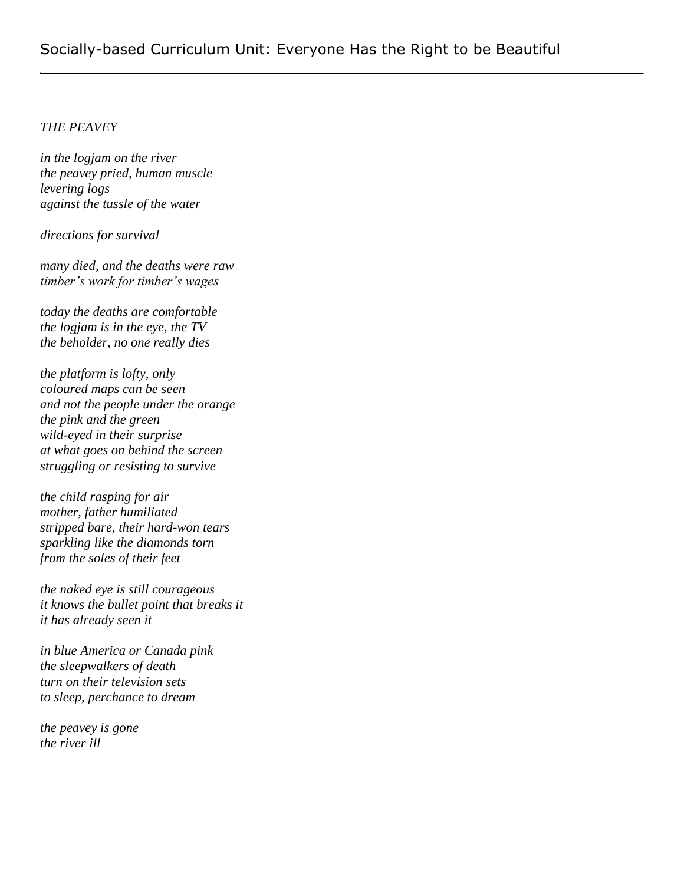### *THE PEAVEY*

*in the logjam on the river the peavey pried, human muscle levering logs against the tussle of the water*

*directions for survival*

*many died, and the deaths were raw timber's work for timber's wages*

*today the deaths are comfortable the logjam is in the eye, the TV the beholder, no one really dies*

*the platform is lofty, only coloured maps can be seen and not the people under the orange the pink and the green wild-eyed in their surprise at what goes on behind the screen struggling or resisting to survive*

*the child rasping for air mother, father humiliated stripped bare, their hard-won tears sparkling like the diamonds torn from the soles of their feet*

*the naked eye is still courageous it knows the bullet point that breaks it it has already seen it*

*in blue America or Canada pink the sleepwalkers of death turn on their television sets to sleep, perchance to dream*

*the peavey is gone the river ill*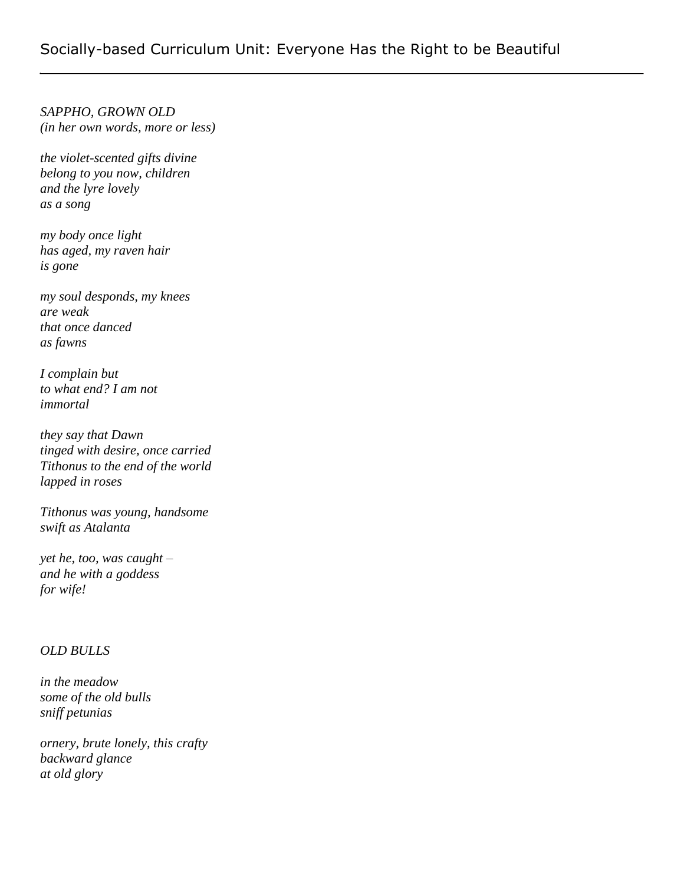*SAPPHO, GROWN OLD (in her own words, more or less)*

*the violet-scented gifts divine belong to you now, children and the lyre lovely as a song*

*my body once light has aged, my raven hair is gone*

*my soul desponds, my knees are weak that once danced as fawns*

*I complain but to what end? I am not immortal*

*they say that Dawn tinged with desire, once carried Tithonus to the end of the world lapped in roses*

*Tithonus was young, handsome swift as Atalanta*

*yet he, too, was caught – and he with a goddess for wife!*

## *OLD BULLS*

*in the meadow some of the old bulls sniff petunias*

*ornery, brute lonely, this crafty backward glance at old glory*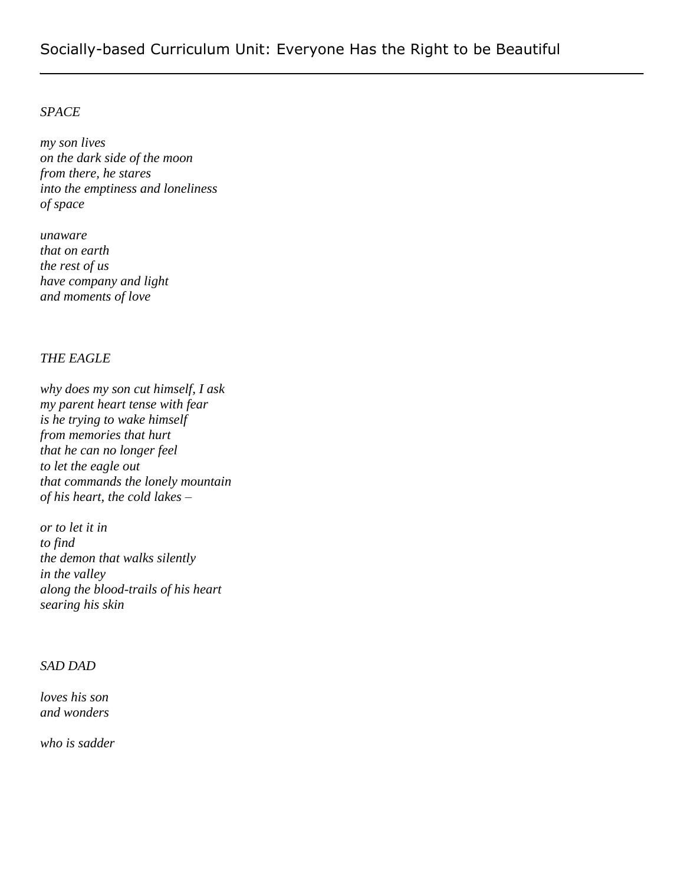### *SPACE*

*my son lives on the dark side of the moon from there, he stares into the emptiness and loneliness of space*

*unaware that on earth the rest of us have company and light and moments of love*

### *THE EAGLE*

*why does my son cut himself, I ask my parent heart tense with fear is he trying to wake himself from memories that hurt that he can no longer feel to let the eagle out that commands the lonely mountain of his heart, the cold lakes –*

*or to let it in to find the demon that walks silently in the valley along the blood-trails of his heart searing his skin*

### *SAD DAD*

*loves his son and wonders*

*who is sadder*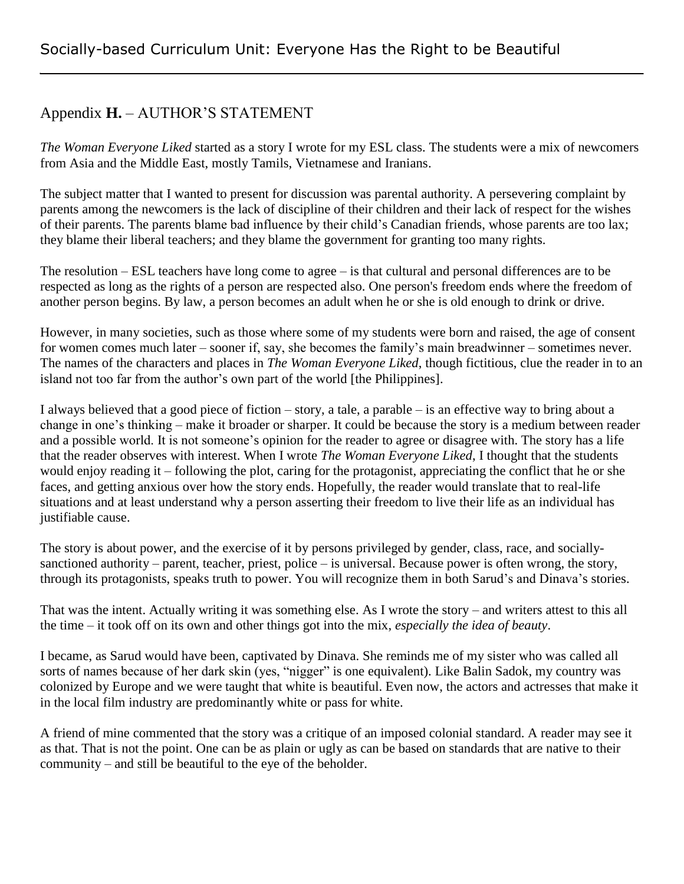# Appendix **H.** – AUTHOR"S STATEMENT

*The Woman Everyone Liked* started as a story I wrote for my ESL class. The students were a mix of newcomers from Asia and the Middle East, mostly Tamils, Vietnamese and Iranians.

The subject matter that I wanted to present for discussion was parental authority. A persevering complaint by parents among the newcomers is the lack of discipline of their children and their lack of respect for the wishes of their parents. The parents blame bad influence by their child"s Canadian friends, whose parents are too lax; they blame their liberal teachers; and they blame the government for granting too many rights.

The resolution – ESL teachers have long come to agree – is that cultural and personal differences are to be respected as long as the rights of a person are respected also. One person's freedom ends where the freedom of another person begins. By law, a person becomes an adult when he or she is old enough to drink or drive.

However, in many societies, such as those where some of my students were born and raised, the age of consent for women comes much later – sooner if, say, she becomes the family"s main breadwinner – sometimes never. The names of the characters and places in *The Woman Everyone Liked*, though fictitious, clue the reader in to an island not too far from the author's own part of the world [the Philippines].

I always believed that a good piece of fiction – story, a tale, a parable – is an effective way to bring about a change in one"s thinking – make it broader or sharper. It could be because the story is a medium between reader and a possible world. It is not someone's opinion for the reader to agree or disagree with. The story has a life that the reader observes with interest. When I wrote *The Woman Everyone Liked*, I thought that the students would enjoy reading it – following the plot, caring for the protagonist, appreciating the conflict that he or she faces, and getting anxious over how the story ends. Hopefully, the reader would translate that to real-life situations and at least understand why a person asserting their freedom to live their life as an individual has justifiable cause.

The story is about power, and the exercise of it by persons privileged by gender, class, race, and sociallysanctioned authority – parent, teacher, priest, police – is universal. Because power is often wrong, the story, through its protagonists, speaks truth to power. You will recognize them in both Sarud"s and Dinava"s stories.

That was the intent. Actually writing it was something else. As I wrote the story – and writers attest to this all the time – it took off on its own and other things got into the mix, *especially the idea of beauty*.

I became, as Sarud would have been, captivated by Dinava. She reminds me of my sister who was called all sorts of names because of her dark skin (yes, "nigger" is one equivalent). Like Balin Sadok, my country was colonized by Europe and we were taught that white is beautiful. Even now, the actors and actresses that make it in the local film industry are predominantly white or pass for white.

A friend of mine commented that the story was a critique of an imposed colonial standard. A reader may see it as that. That is not the point. One can be as plain or ugly as can be based on standards that are native to their community – and still be beautiful to the eye of the beholder.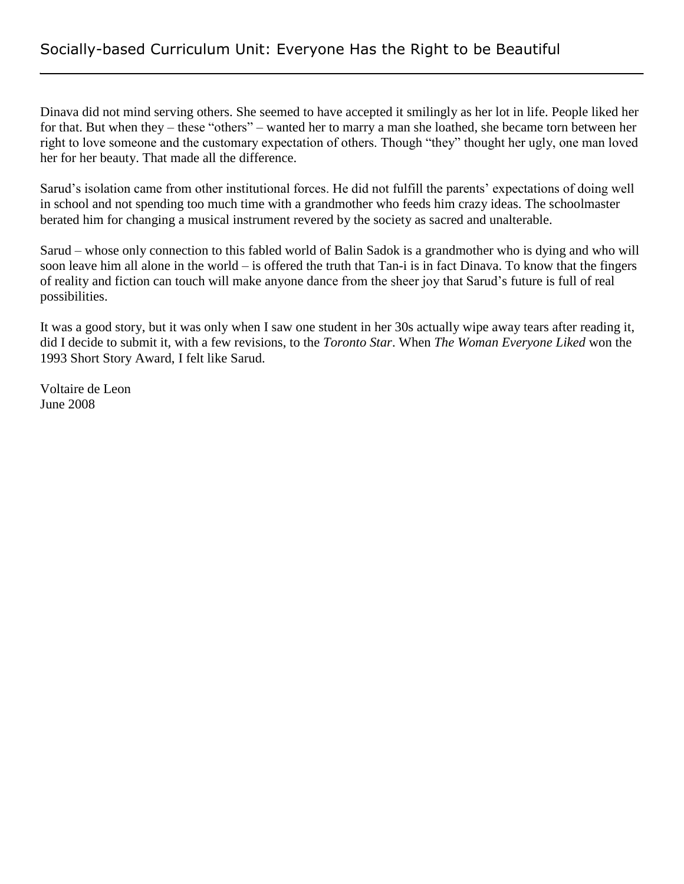Dinava did not mind serving others. She seemed to have accepted it smilingly as her lot in life. People liked her for that. But when they – these "others" – wanted her to marry a man she loathed, she became torn between her right to love someone and the customary expectation of others. Though "they" thought her ugly, one man loved her for her beauty. That made all the difference.

Sarud's isolation came from other institutional forces. He did not fulfill the parents' expectations of doing well in school and not spending too much time with a grandmother who feeds him crazy ideas. The schoolmaster berated him for changing a musical instrument revered by the society as sacred and unalterable.

Sarud – whose only connection to this fabled world of Balin Sadok is a grandmother who is dying and who will soon leave him all alone in the world – is offered the truth that Tan-i is in fact Dinava. To know that the fingers of reality and fiction can touch will make anyone dance from the sheer joy that Sarud"s future is full of real possibilities.

It was a good story, but it was only when I saw one student in her 30s actually wipe away tears after reading it, did I decide to submit it, with a few revisions, to the *Toronto Star*. When *The Woman Everyone Liked* won the 1993 Short Story Award, I felt like Sarud.

Voltaire de Leon June 2008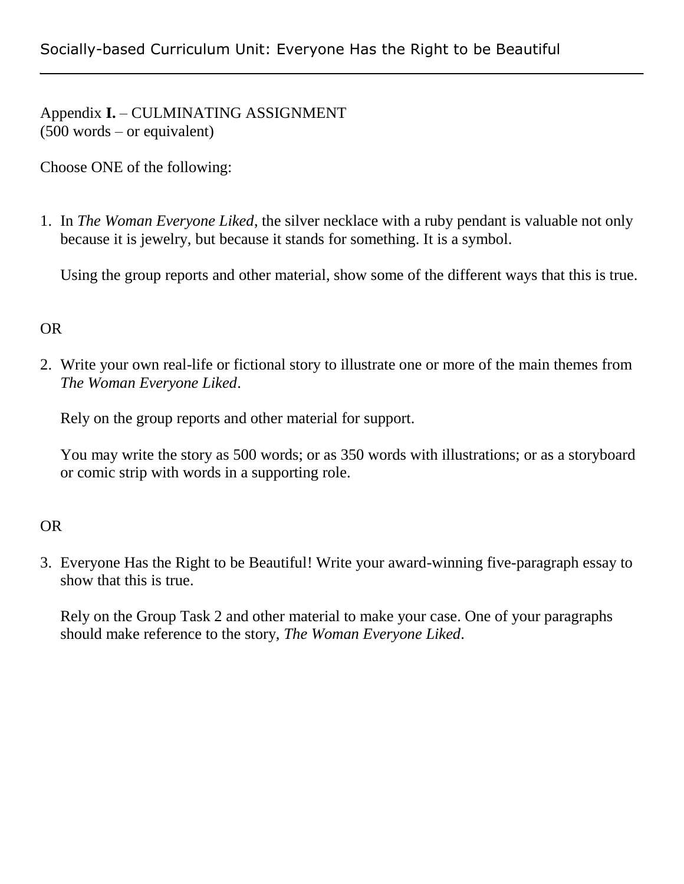Appendix **I.** – CULMINATING ASSIGNMENT (500 words – or equivalent)

Choose ONE of the following:

1. In *The Woman Everyone Liked*, the silver necklace with a ruby pendant is valuable not only because it is jewelry, but because it stands for something. It is a symbol.

Using the group reports and other material, show some of the different ways that this is true.

# OR

2. Write your own real-life or fictional story to illustrate one or more of the main themes from *The Woman Everyone Liked*.

Rely on the group reports and other material for support.

You may write the story as 500 words; or as 350 words with illustrations; or as a storyboard or comic strip with words in a supporting role.

# OR

3. Everyone Has the Right to be Beautiful! Write your award-winning five-paragraph essay to show that this is true.

Rely on the Group Task 2 and other material to make your case. One of your paragraphs should make reference to the story, *The Woman Everyone Liked*.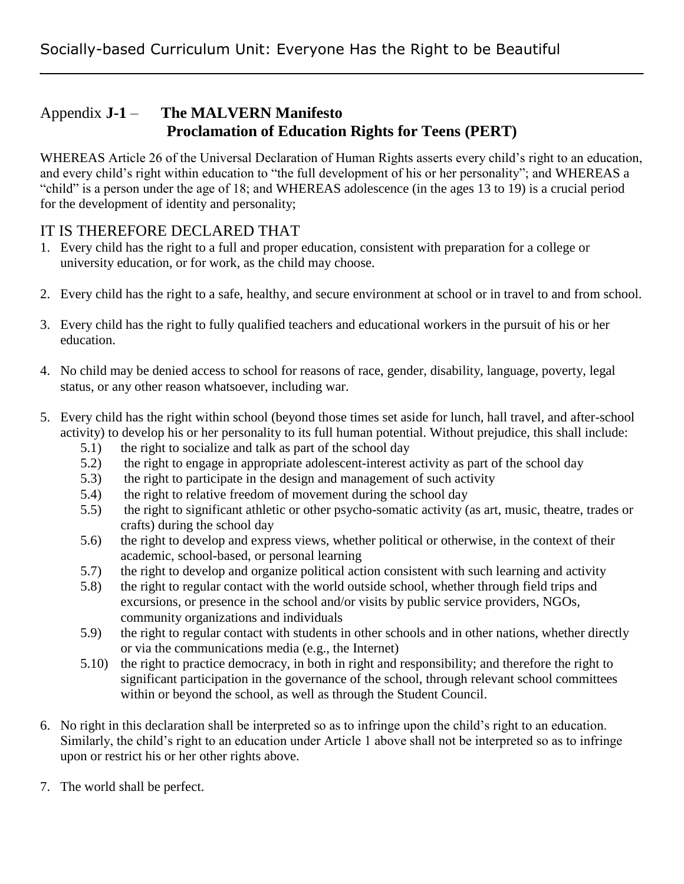# Appendix **J-1** – **The MALVERN Manifesto Proclamation of Education Rights for Teens (PERT)**

WHEREAS Article 26 of the Universal Declaration of Human Rights asserts every child's right to an education, and every child"s right within education to "the full development of his or her personality"; and WHEREAS a "child" is a person under the age of 18; and WHEREAS adolescence (in the ages 13 to 19) is a crucial period for the development of identity and personality;

# IT IS THEREFORE DECLARED THAT

- 1. Every child has the right to a full and proper education, consistent with preparation for a college or university education, or for work, as the child may choose.
- 2. Every child has the right to a safe, healthy, and secure environment at school or in travel to and from school.
- 3. Every child has the right to fully qualified teachers and educational workers in the pursuit of his or her education.
- 4. No child may be denied access to school for reasons of race, gender, disability, language, poverty, legal status, or any other reason whatsoever, including war.
- 5. Every child has the right within school (beyond those times set aside for lunch, hall travel, and after-school activity) to develop his or her personality to its full human potential. Without prejudice, this shall include:
	- 5.1) the right to socialize and talk as part of the school day
	- 5.2) the right to engage in appropriate adolescent-interest activity as part of the school day
	- 5.3) the right to participate in the design and management of such activity
	- 5.4) the right to relative freedom of movement during the school day
	- 5.5) the right to significant athletic or other psycho-somatic activity (as art, music, theatre, trades or crafts) during the school day
	- 5.6) the right to develop and express views, whether political or otherwise, in the context of their academic, school-based, or personal learning
	- 5.7) the right to develop and organize political action consistent with such learning and activity
	- 5.8) the right to regular contact with the world outside school, whether through field trips and excursions, or presence in the school and/or visits by public service providers, NGOs, community organizations and individuals
	- 5.9) the right to regular contact with students in other schools and in other nations, whether directly or via the communications media (e.g., the Internet)
	- 5.10) the right to practice democracy, in both in right and responsibility; and therefore the right to significant participation in the governance of the school, through relevant school committees within or beyond the school, as well as through the Student Council.
- 6. No right in this declaration shall be interpreted so as to infringe upon the child"s right to an education. Similarly, the child"s right to an education under Article 1 above shall not be interpreted so as to infringe upon or restrict his or her other rights above.
- 7. The world shall be perfect.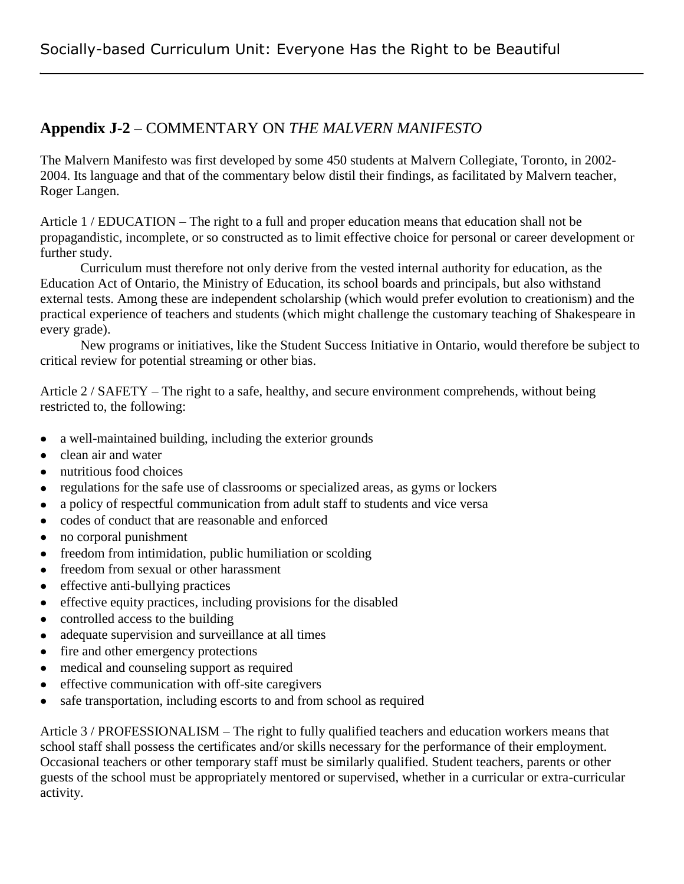# **Appendix J-2** – COMMENTARY ON *THE MALVERN MANIFESTO*

The Malvern Manifesto was first developed by some 450 students at Malvern Collegiate, Toronto, in 2002- 2004. Its language and that of the commentary below distil their findings, as facilitated by Malvern teacher, Roger Langen.

Article 1 / EDUCATION – The right to a full and proper education means that education shall not be propagandistic, incomplete, or so constructed as to limit effective choice for personal or career development or further study.

Curriculum must therefore not only derive from the vested internal authority for education, as the Education Act of Ontario, the Ministry of Education, its school boards and principals, but also withstand external tests. Among these are independent scholarship (which would prefer evolution to creationism) and the practical experience of teachers and students (which might challenge the customary teaching of Shakespeare in every grade).

New programs or initiatives, like the Student Success Initiative in Ontario, would therefore be subject to critical review for potential streaming or other bias.

Article 2 / SAFETY – The right to a safe, healthy, and secure environment comprehends, without being restricted to, the following:

- a well-maintained building, including the exterior grounds  $\bullet$
- clean air and water  $\bullet$
- nutritious food choices
- regulations for the safe use of classrooms or specialized areas, as gyms or lockers  $\bullet$
- a policy of respectful communication from adult staff to students and vice versa  $\bullet$
- codes of conduct that are reasonable and enforced  $\bullet$
- no corporal punishment  $\bullet$
- freedom from intimidation, public humiliation or scolding
- freedom from sexual or other harassment  $\bullet$
- effective anti-bullying practices  $\bullet$
- effective equity practices, including provisions for the disabled  $\bullet$
- controlled access to the building  $\bullet$
- adequate supervision and surveillance at all times  $\bullet$
- fire and other emergency protections  $\bullet$
- medical and counseling support as required  $\bullet$
- effective communication with off-site caregivers  $\bullet$
- safe transportation, including escorts to and from school as required  $\bullet$

Article 3 / PROFESSIONALISM – The right to fully qualified teachers and education workers means that school staff shall possess the certificates and/or skills necessary for the performance of their employment. Occasional teachers or other temporary staff must be similarly qualified. Student teachers, parents or other guests of the school must be appropriately mentored or supervised, whether in a curricular or extra-curricular activity.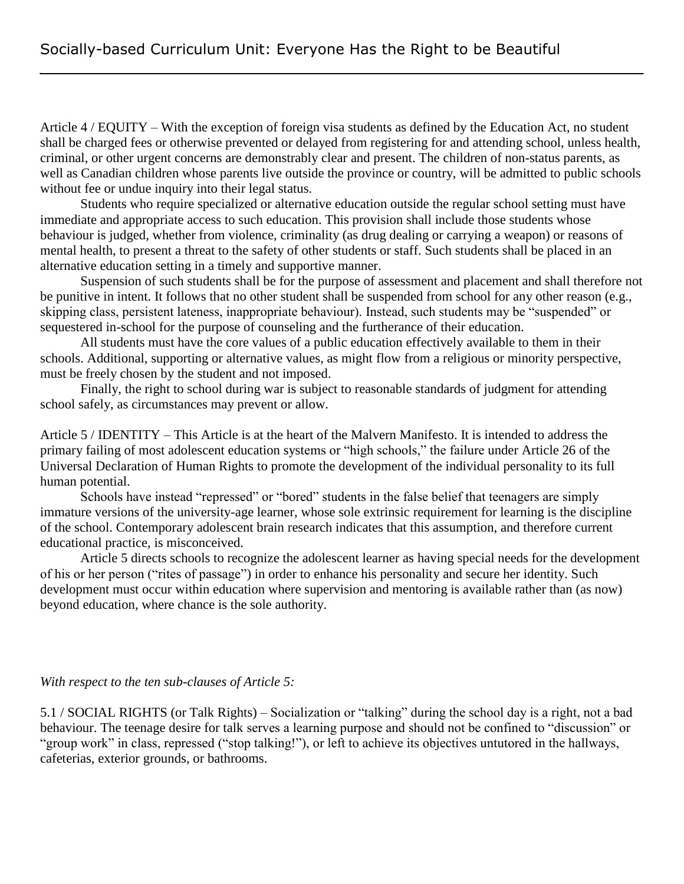Article 4 / EQUITY – With the exception of foreign visa students as defined by the Education Act, no student shall be charged fees or otherwise prevented or delayed from registering for and attending school, unless health, criminal, or other urgent concerns are demonstrably clear and present. The children of non-status parents, as well as Canadian children whose parents live outside the province or country, will be admitted to public schools without fee or undue inquiry into their legal status.

Students who require specialized or alternative education outside the regular school setting must have immediate and appropriate access to such education. This provision shall include those students whose behaviour is judged, whether from violence, criminality (as drug dealing or carrying a weapon) or reasons of mental health, to present a threat to the safety of other students or staff. Such students shall be placed in an alternative education setting in a timely and supportive manner.

Suspension of such students shall be for the purpose of assessment and placement and shall therefore not be punitive in intent. It follows that no other student shall be suspended from school for any other reason (e.g., skipping class, persistent lateness, inappropriate behaviour). Instead, such students may be "suspended" or sequestered in-school for the purpose of counseling and the furtherance of their education.

All students must have the core values of a public education effectively available to them in their schools. Additional, supporting or alternative values, as might flow from a religious or minority perspective, must be freely chosen by the student and not imposed.

Finally, the right to school during war is subject to reasonable standards of judgment for attending school safely, as circumstances may prevent or allow.

Article 5 / IDENTITY – This Article is at the heart of the Malvern Manifesto. It is intended to address the primary failing of most adolescent education systems or "high schools," the failure under Article 26 of the Universal Declaration of Human Rights to promote the development of the individual personality to its full human potential.

Schools have instead "repressed" or "bored" students in the false belief that teenagers are simply immature versions of the university-age learner, whose sole extrinsic requirement for learning is the discipline of the school. Contemporary adolescent brain research indicates that this assumption, and therefore current educational practice, is misconceived.

Article 5 directs schools to recognize the adolescent learner as having special needs for the development of his or her person ("rites of passage") in order to enhance his personality and secure her identity. Such development must occur within education where supervision and mentoring is available rather than (as now) beyond education, where chance is the sole authority.

#### *With respect to the ten sub-clauses of Article 5:*

5.1 / SOCIAL RIGHTS (or Talk Rights) – Socialization or "talking" during the school day is a right, not a bad behaviour. The teenage desire for talk serves a learning purpose and should not be confined to "discussion" or "group work" in class, repressed ("stop talking!"), or left to achieve its objectives untutored in the hallways, cafeterias, exterior grounds, or bathrooms.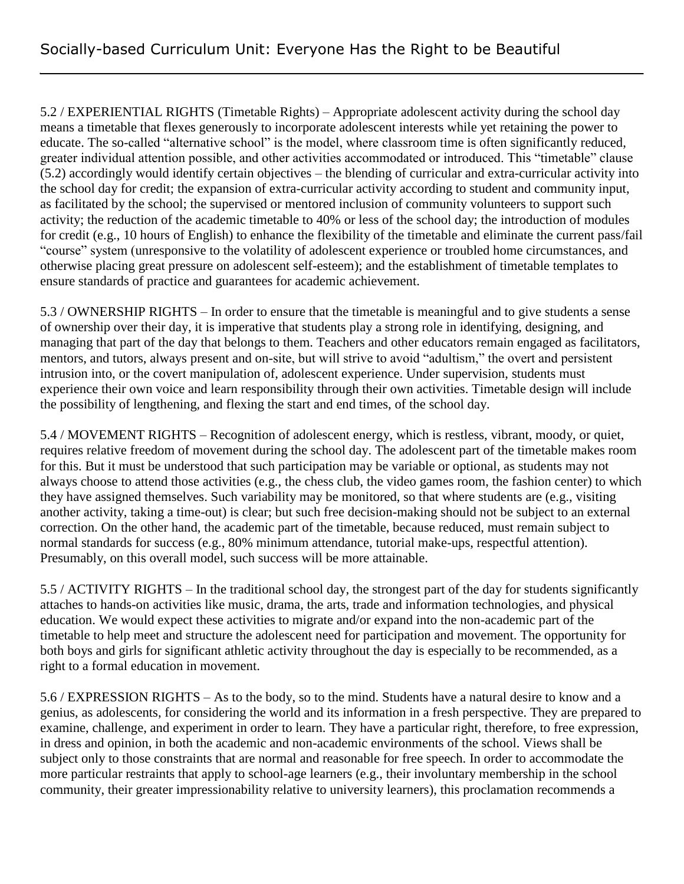5.2 / EXPERIENTIAL RIGHTS (Timetable Rights) – Appropriate adolescent activity during the school day means a timetable that flexes generously to incorporate adolescent interests while yet retaining the power to educate. The so-called "alternative school" is the model, where classroom time is often significantly reduced, greater individual attention possible, and other activities accommodated or introduced. This "timetable" clause (5.2) accordingly would identify certain objectives – the blending of curricular and extra-curricular activity into the school day for credit; the expansion of extra-curricular activity according to student and community input, as facilitated by the school; the supervised or mentored inclusion of community volunteers to support such activity; the reduction of the academic timetable to 40% or less of the school day; the introduction of modules for credit (e.g., 10 hours of English) to enhance the flexibility of the timetable and eliminate the current pass/fail "course" system (unresponsive to the volatility of adolescent experience or troubled home circumstances, and otherwise placing great pressure on adolescent self-esteem); and the establishment of timetable templates to ensure standards of practice and guarantees for academic achievement.

5.3 / OWNERSHIP RIGHTS – In order to ensure that the timetable is meaningful and to give students a sense of ownership over their day, it is imperative that students play a strong role in identifying, designing, and managing that part of the day that belongs to them. Teachers and other educators remain engaged as facilitators, mentors, and tutors, always present and on-site, but will strive to avoid "adultism," the overt and persistent intrusion into, or the covert manipulation of, adolescent experience. Under supervision, students must experience their own voice and learn responsibility through their own activities. Timetable design will include the possibility of lengthening, and flexing the start and end times, of the school day.

5.4 / MOVEMENT RIGHTS – Recognition of adolescent energy, which is restless, vibrant, moody, or quiet, requires relative freedom of movement during the school day. The adolescent part of the timetable makes room for this. But it must be understood that such participation may be variable or optional, as students may not always choose to attend those activities (e.g., the chess club, the video games room, the fashion center) to which they have assigned themselves. Such variability may be monitored, so that where students are (e.g., visiting another activity, taking a time-out) is clear; but such free decision-making should not be subject to an external correction. On the other hand, the academic part of the timetable, because reduced, must remain subject to normal standards for success (e.g., 80% minimum attendance, tutorial make-ups, respectful attention). Presumably, on this overall model, such success will be more attainable.

5.5 / ACTIVITY RIGHTS – In the traditional school day, the strongest part of the day for students significantly attaches to hands-on activities like music, drama, the arts, trade and information technologies, and physical education. We would expect these activities to migrate and/or expand into the non-academic part of the timetable to help meet and structure the adolescent need for participation and movement. The opportunity for both boys and girls for significant athletic activity throughout the day is especially to be recommended, as a right to a formal education in movement.

5.6 / EXPRESSION RIGHTS – As to the body, so to the mind. Students have a natural desire to know and a genius, as adolescents, for considering the world and its information in a fresh perspective. They are prepared to examine, challenge, and experiment in order to learn. They have a particular right, therefore, to free expression, in dress and opinion, in both the academic and non-academic environments of the school. Views shall be subject only to those constraints that are normal and reasonable for free speech. In order to accommodate the more particular restraints that apply to school-age learners (e.g., their involuntary membership in the school community, their greater impressionability relative to university learners), this proclamation recommends a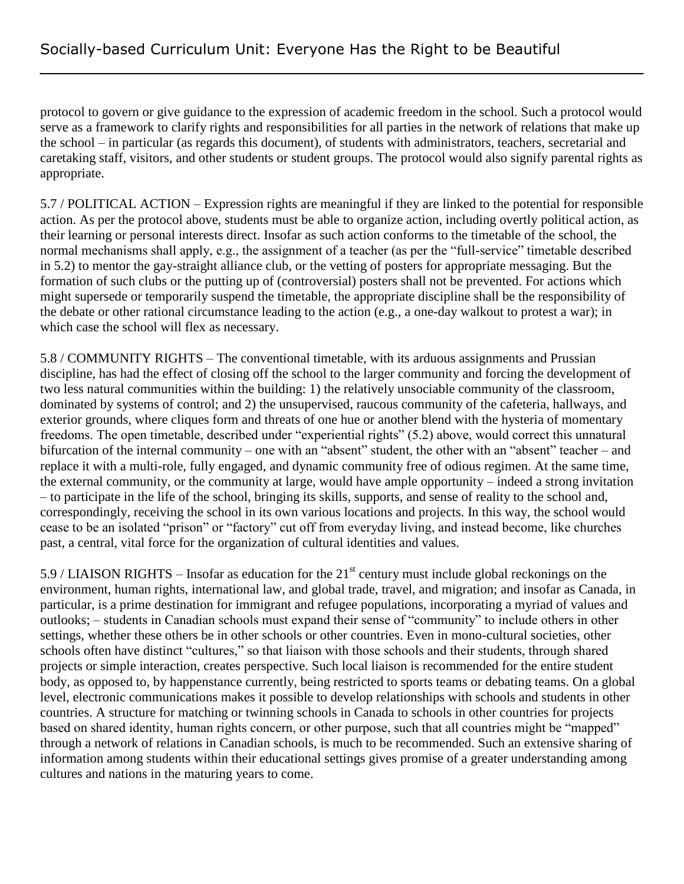protocol to govern or give guidance to the expression of academic freedom in the school. Such a protocol would serve as a framework to clarify rights and responsibilities for all parties in the network of relations that make up the school – in particular (as regards this document), of students with administrators, teachers, secretarial and caretaking staff, visitors, and other students or student groups. The protocol would also signify parental rights as appropriate.

5.7 / POLITICAL ACTION – Expression rights are meaningful if they are linked to the potential for responsible action. As per the protocol above, students must be able to organize action, including overtly political action, as their learning or personal interests direct. Insofar as such action conforms to the timetable of the school, the normal mechanisms shall apply, e.g., the assignment of a teacher (as per the "full-service" timetable described in 5.2) to mentor the gay-straight alliance club, or the vetting of posters for appropriate messaging. But the formation of such clubs or the putting up of (controversial) posters shall not be prevented. For actions which might supersede or temporarily suspend the timetable, the appropriate discipline shall be the responsibility of the debate or other rational circumstance leading to the action (e.g., a one-day walkout to protest a war); in which case the school will flex as necessary.

5.8 / COMMUNITY RIGHTS – The conventional timetable, with its arduous assignments and Prussian discipline, has had the effect of closing off the school to the larger community and forcing the development of two less natural communities within the building: 1) the relatively unsociable community of the classroom, dominated by systems of control; and 2) the unsupervised, raucous community of the cafeteria, hallways, and exterior grounds, where cliques form and threats of one hue or another blend with the hysteria of momentary freedoms. The open timetable, described under "experiential rights" (5.2) above, would correct this unnatural bifurcation of the internal community – one with an "absent" student, the other with an "absent" teacher – and replace it with a multi-role, fully engaged, and dynamic community free of odious regimen. At the same time, the external community, or the community at large, would have ample opportunity – indeed a strong invitation – to participate in the life of the school, bringing its skills, supports, and sense of reality to the school and, correspondingly, receiving the school in its own various locations and projects. In this way, the school would cease to be an isolated "prison" or "factory" cut off from everyday living, and instead become, like churches past, a central, vital force for the organization of cultural identities and values.

5.9 / LIAISON RIGHTS – Insofar as education for the  $21<sup>st</sup>$  century must include global reckonings on the environment, human rights, international law, and global trade, travel, and migration; and insofar as Canada, in particular, is a prime destination for immigrant and refugee populations, incorporating a myriad of values and outlooks; – students in Canadian schools must expand their sense of "community" to include others in other settings, whether these others be in other schools or other countries. Even in mono-cultural societies, other schools often have distinct "cultures," so that liaison with those schools and their students, through shared projects or simple interaction, creates perspective. Such local liaison is recommended for the entire student body, as opposed to, by happenstance currently, being restricted to sports teams or debating teams. On a global level, electronic communications makes it possible to develop relationships with schools and students in other countries. A structure for matching or twinning schools in Canada to schools in other countries for projects based on shared identity, human rights concern, or other purpose, such that all countries might be "mapped" through a network of relations in Canadian schools, is much to be recommended. Such an extensive sharing of information among students within their educational settings gives promise of a greater understanding among cultures and nations in the maturing years to come.